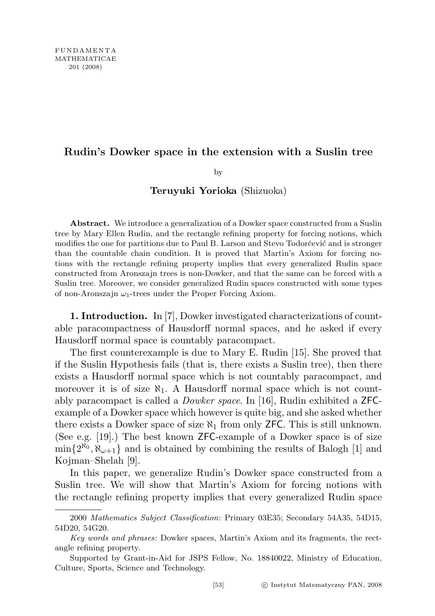# Rudin's Dowker space in the extension with a Suslin tree

by

## Teruyuki Yorioka (Shizuoka)

Abstract. We introduce a generalization of a Dowker space constructed from a Suslin tree by Mary Ellen Rudin, and the rectangle refining property for forcing notions, which modifies the one for partitions due to Paul B. Larson and Stevo Todorčević and is stronger than the countable chain condition. It is proved that Martin's Axiom for forcing notions with the rectangle refining property implies that every generalized Rudin space constructed from Aronszajn trees is non-Dowker, and that the same can be forced with a Suslin tree. Moreover, we consider generalized Rudin spaces constructed with some types of non-Aronszajn  $\omega_1$ -trees under the Proper Forcing Axiom.

1. Introduction. In [7], Dowker investigated characterizations of countable paracompactness of Hausdorff normal spaces, and he asked if every Hausdorff normal space is countably paracompact.

The first counterexample is due to Mary E. Rudin [15]. She proved that if the Suslin Hypothesis fails (that is, there exists a Suslin tree), then there exists a Hausdorff normal space which is not countably paracompact, and moreover it is of size  $\aleph_1$ . A Hausdorff normal space which is not countably paracompact is called a Dowker space. In [16], Rudin exhibited a ZFCexample of a Dowker space which however is quite big, and she asked whether there exists a Dowker space of size  $\aleph_1$  from only ZFC. This is still unknown. (See e.g. [19].) The best known ZFC-example of a Dowker space is of size  $\min\{2^{\aleph_0}, \aleph_{\omega+1}\}\$ and is obtained by combining the results of Balogh [1] and Kojman–Shelah [9].

In this paper, we generalize Rudin's Dowker space constructed from a Suslin tree. We will show that Martin's Axiom for forcing notions with the rectangle refining property implies that every generalized Rudin space

<sup>2000</sup> Mathematics Subject Classification: Primary 03E35; Secondary 54A35, 54D15, 54D20, 54G20.

Key words and phrases: Dowker spaces, Martin's Axiom and its fragments, the rectangle refining property.

Supported by Grant-in-Aid for JSPS Fellow, No. 18840022, Ministry of Education, Culture, Sports, Science and Technology.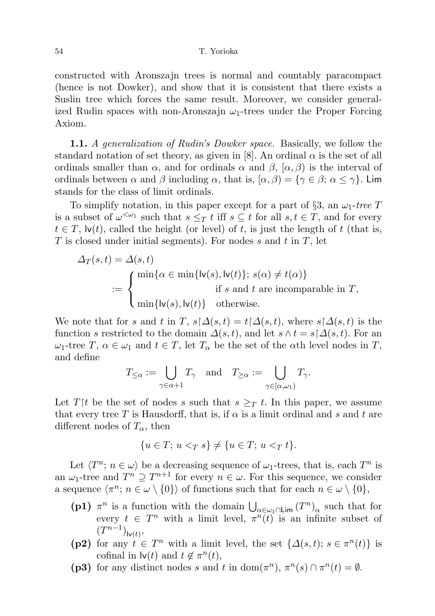constructed with Aronszajn trees is normal and countably paracompact (hence is not Dowker), and show that it is consistent that there exists a Suslin tree which forces the same result. Moreover, we consider generalized Rudin spaces with non-Aronszajn  $\omega_1$ -trees under the Proper Forcing Axiom.

1.1. A generalization of Rudin's Dowker space. Basically, we follow the standard notation of set theory, as given in [8]. An ordinal  $\alpha$  is the set of all ordinals smaller than  $\alpha$ , and for ordinals  $\alpha$  and  $\beta$ ,  $[\alpha, \beta)$  is the interval of ordinals between  $\alpha$  and  $\beta$  including  $\alpha$ , that is,  $[\alpha, \beta] = {\gamma \in \beta; \alpha \leq \gamma}$ . Lim stands for the class of limit ordinals.

To simplify notation, in this paper except for a part of §3, an  $\omega_1$ -tree T is a subset of  $\omega^{\leq \omega_1}$  such that  $s \leq_T t$  iff  $s \subseteq t$  for all  $s, t \in T$ , and for every  $t \in T$ ,  $\mathsf{I} \mathsf{v}(t)$ , called the height (or level) of t, is just the length of t (that is, T is closed under initial segments). For nodes s and t in  $T$ , let

$$
\Delta_T(s,t) = \Delta(s,t)
$$
  
 := 
$$
\begin{cases} \min\{\alpha \in \min\{\mathsf{lv}(s), \mathsf{lv}(t)\}; s(\alpha) \neq t(\alpha)\} \\ \text{if } s \text{ and } t \text{ are incomparable in } T, \\ \min\{\mathsf{lv}(s), \mathsf{lv}(t)\} \quad \text{otherwise.} \end{cases}
$$

We note that for s and t in T,  $s \Delta(s,t) = t \Delta(s,t)$ , where  $s \Delta(s,t)$  is the function s restricted to the domain  $\Delta(s,t)$ , and let  $s \wedge t = s \Delta(s,t)$ . For an  $\omega_1$ -tree T,  $\alpha \in \omega_1$  and  $t \in T$ , let  $T_\alpha$  be the set of the  $\alpha$ th level nodes in T, and define

$$
T_{\leq \alpha} := \bigcup_{\gamma \in \alpha + 1} T_{\gamma} \quad \text{and} \quad T_{\geq \alpha} := \bigcup_{\gamma \in [\alpha, \omega_1)} T_{\gamma}.
$$

Let T<sup> $\uparrow$ </sup>t be the set of nodes s such that  $s \geq_T t$ . In this paper, we assume that every tree T is Hausdorff, that is, if  $\alpha$  is a limit ordinal and s and t are different nodes of  $T_{\alpha}$ , then

$$
\{u \in T; \, u <_{T} s\} \neq \{u \in T; \, u <_{T} t\}.
$$

Let  $\langle T^n; n \in \omega \rangle$  be a decreasing sequence of  $\omega_1$ -trees, that is, each  $T^n$  is an  $\omega_1$ -tree and  $T^n \supseteq T^{n+1}$  for every  $n \in \omega$ . For this sequence, we consider a sequence  $\langle \pi^n; n \in \omega \setminus \{0\} \rangle$  of functions such that for each  $n \in \omega \setminus \{0\},\$ 

- (p1)  $\pi^n$  is a function with the domain  $\bigcup_{\alpha \in \omega_1 \cap \text{Lim}} (T^n)_{\alpha}$  such that for every  $t \in T^n$  with a limit level,  $\pi^n(t)$  is an infinite subset of  $(T^{n-1})_{{\sf IV}(t)},$
- (p2) for any  $t \in T^n$  with a limit level, the set  $\{\Delta(s,t); s \in \pi^n(t)\}\$ is cofinal in  $\mathsf{lv}(t)$  and  $t \notin \pi^n(t)$ ,
- (p3) for any distinct nodes s and t in dom $(\pi^n)$ ,  $\pi^n(s) \cap \pi^n(t) = \emptyset$ .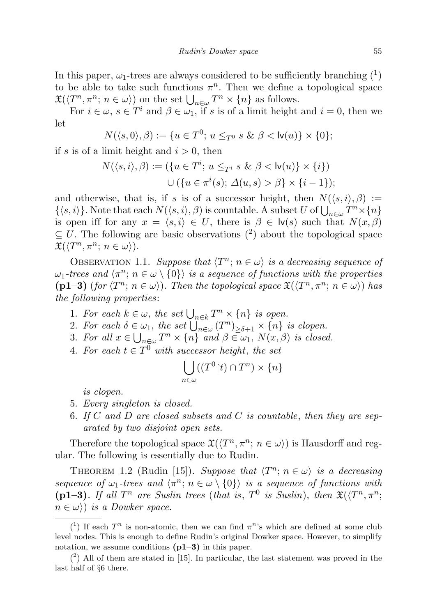In this paper,  $\omega_1$ -trees are always considered to be sufficiently branching  $(1)$ to be able to take such functions  $\pi^n$ . Then we define a topological space  $\mathfrak{X}(\langle T^n, \pi^n; n \in \omega \rangle)$  on the set  $\bigcup_{n \in \omega} T^n \times \{n\}$  as follows.

For  $i \in \omega$ ,  $s \in T^i$  and  $\beta \in \omega_1$ , if s is of a limit height and  $i = 0$ , then we let

$$
N(\langle s,0\rangle,\beta):=\{u\in T^0;\,u\leq_{T^0} s\ \&\ \beta<\mathsf{lv}(u)\}\times\{0\};
$$

if s is of a limit height and  $i > 0$ , then

$$
N(\langle s,i \rangle, \beta) := (\{u \in T^i; u \leq_{T^i} s \& \beta < |v(u)| \times \{i\})
$$

$$
\cup (\{u \in \pi^i(s); \Delta(u,s) > \beta\} \times \{i-1\});
$$

and otherwise, that is, if s is of a successor height, then  $N(\langle s, i \rangle, \beta) :=$  $\{\langle s, i \rangle\}$ . Note that each  $N(\langle s, i \rangle, \beta)$  is countable. A subset U of  $\bigcup_{n \in \omega} T^n \times \{n\}$ is open iff for any  $x = \langle s, i \rangle \in U$ , there is  $\beta \in \mathsf{lv}(s)$  such that  $N(x, \beta)$  $\subseteq U$ . The following are basic observations  $(2)$  about the topological space  $\mathfrak{X}(\langle T^n, \pi^n; n \in \omega \rangle).$ 

OBSERVATION 1.1. Suppose that  $\langle T^n; n \in \omega \rangle$  is a decreasing sequence of  $\omega_1$ -trees and  $\langle \pi^n; n \in \omega \setminus \{0\} \rangle$  is a sequence of functions with the properties (p1-3) (for  $\langle T^n; n \in \omega \rangle$ ). Then the topological space  $\mathfrak{X}(\langle T^n, \pi^n; n \in \omega \rangle)$  has the following properties:

- 1. For each  $k \in \omega$ , the set  $\bigcup_{n \in k} T^n \times \{n\}$  is open.
- 2. For each  $\delta \in \omega_1$ , the set  $\bigcup_{n \in \omega}^{\infty} (T^n)_{\geq \delta+1} \times \{n\}$  is clopen.
- 3. For all  $x \in \bigcup_{n \in \omega} T^n \times \{n\}$  and  $\beta \in \omega_1$ ,  $N(x, \beta)$  is closed.
- 4. For each  $t \in T^0$  with successor height, the set

$$
\bigcup_{n\in\omega}((T^0\upharpoonright t)\cap T^n)\times\{n\}
$$

is clopen.

- 5. Every singleton is closed.
- 6. If C and D are closed subsets and C is countable, then they are separated by two disjoint open sets.

Therefore the topological space  $\mathfrak{X}(\langle T^n, \pi^n; n \in \omega \rangle)$  is Hausdorff and regular. The following is essentially due to Rudin.

THEOREM 1.2 (Rudin [15]). Suppose that  $\langle T^n; n \in \omega \rangle$  is a decreasing sequence of  $\omega_1$ -trees and  $\langle \pi^n; n \in \omega \setminus \{0\} \rangle$  is a sequence of functions with (p1-3). If all  $T^n$  are Suslin trees (that is,  $T^0$  is Suslin), then  $\mathfrak{X}(\langle T^n, \pi^n;$  $n \in \omega$ ) is a Dowker space.

<sup>(&</sup>lt;sup>1</sup>) If each  $T^n$  is non-atomic, then we can find  $\pi^n$ 's which are defined at some club level nodes. This is enough to define Rudin's original Dowker space. However, to simplify notation, we assume conditions  $(p1-3)$  in this paper.

 $(2)$  All of them are stated in [15]. In particular, the last statement was proved in the last half of §6 there.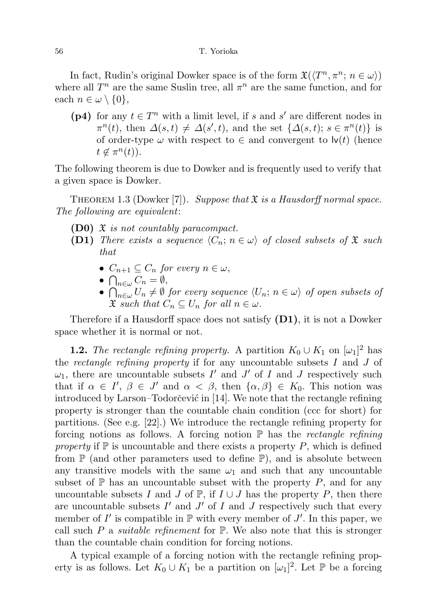#### 56 T. Yorioka

In fact, Rudin's original Dowker space is of the form  $\mathfrak{X}(\langle T^n, \pi^n; n \in \omega \rangle)$ where all  $T^n$  are the same Suslin tree, all  $\pi^n$  are the same function, and for each  $n \in \omega \setminus \{0\},\$ 

(p4) for any  $t \in T^n$  with a limit level, if s and s' are different nodes in  $\pi^{n}(t)$ , then  $\Delta(s,t) \neq \Delta(s',t)$ , and the set  $\{\Delta(s,t); s \in \pi^{n}(t)\}\$ is of order-type  $\omega$  with respect to  $\in$  and convergent to  $\mathsf{Iv}(t)$  (hence  $t \notin \pi^n(t)$ ).

The following theorem is due to Dowker and is frequently used to verify that a given space is Dowker.

THEOREM 1.3 (Dowker [7]). Suppose that  $\mathfrak X$  is a Hausdorff normal space. The following are equivalent:

- **(D0)**  $\mathfrak{X}$  is not countably paracompact.
- **(D1)** There exists a sequence  $\langle C_n; n \in \omega \rangle$  of closed subsets of  $\mathfrak{X}$  such that
	- $C_{n+1} \subseteq C_n$  for every  $n \in \omega$ ,
	- $\bigcap_{n\in\omega}C_n=\emptyset,$
	- $\bigcap_{n\in\omega}U_n\neq\emptyset$  for every sequence  $\langle U_n;\,n\in\omega\rangle$  of open subsets of  $\mathfrak X$  such that  $C_n \subseteq U_n$  for all  $n \in \omega$ .

Therefore if a Hausdorff space does not satisfy (D1), it is not a Dowker space whether it is normal or not.

**1.2.** The rectangle refining property. A partition  $K_0 \cup K_1$  on  $[\omega_1]^2$  has the *rectangle refining property* if for any uncountable subsets  $I$  and  $J$  of  $\omega_1$ , there are uncountable subsets  $I'$  and  $J'$  of I and J respectively such that if  $\alpha \in I'$ ,  $\beta \in J'$  and  $\alpha < \beta$ , then  $\{\alpha, \beta\} \in K_0$ . This notion was introduced by Larson–Todorčević in  $[14]$ . We note that the rectangle refining property is stronger than the countable chain condition (ccc for short) for partitions. (See e.g. [22].) We introduce the rectangle refining property for forcing notions as follows. A forcing notion  $\mathbb P$  has the *rectangle refining* property if  $\mathbb P$  is uncountable and there exists a property  $P$ , which is defined from  $\mathbb P$  (and other parameters used to define  $\mathbb P$ ), and is absolute between any transitive models with the same  $\omega_1$  and such that any uncountable subset of  $\mathbb P$  has an uncountable subset with the property P, and for any uncountable subsets I and J of  $\mathbb{P}$ , if  $I \cup J$  has the property P, then there are uncountable subsets  $I'$  and  $J'$  of  $I$  and  $J$  respectively such that every member of  $I'$  is compatible in  $\mathbb P$  with every member of  $J'$ . In this paper, we call such P a *suitable refinement* for  $\mathbb{P}$ . We also note that this is stronger than the countable chain condition for forcing notions.

A typical example of a forcing notion with the rectangle refining property is as follows. Let  $K_0 \cup K_1$  be a partition on  $[\omega_1]^2$ . Let  $\mathbb P$  be a forcing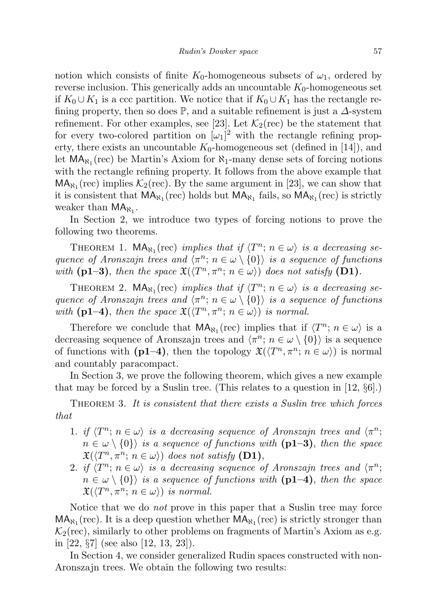notion which consists of finite  $K_0$ -homogeneous subsets of  $\omega_1$ , ordered by reverse inclusion. This generically adds an uncountable  $K_0$ -homogeneous set if  $K_0 \cup K_1$  is a ccc partition. We notice that if  $K_0 \cup K_1$  has the rectangle refining property, then so does  $\mathbb{P}$ , and a suitable refinement is just a  $\Delta$ -system refinement. For other examples, see [23]. Let  $\mathcal{K}_2$ (rec) be the statement that for every two-colored partition on  $[\omega_1]^2$  with the rectangle refining property, there exists an uncountable  $K_0$ -homogeneous set (defined in [14]), and let  $\text{MA}_{\aleph_1}(\text{rec})$  be Martin's Axiom for  $\aleph_1$ -many dense sets of forcing notions with the rectangle refining property. It follows from the above example that  $MA_{N_1}(\text{rec})$  implies  $\mathcal{K}_2(\text{rec})$ . By the same argument in [23], we can show that it is consistent that  $\mathsf{MA}_{\aleph_1}(\text{rec})$  holds but  $\mathsf{MA}_{\aleph_1}$  fails, so  $\mathsf{MA}_{\aleph_1}(\text{rec})$  is strictly weaker than  $MA_{\aleph_1}$ .

In Section 2, we introduce two types of forcing notions to prove the following two theorems.

THEOREM 1.  $\mathsf{MA}_{\aleph_1}(\text{rec})$  implies that if  $\langle T^n; n \in \omega \rangle$  is a decreasing sequence of Aronszajn trees and  $\langle \pi^n; n \in \omega \setminus \{0\} \rangle$  is a sequence of functions with (p1-3), then the space  $\mathfrak{X}(\langle T^n, \pi^n; n \in \omega \rangle)$  does not satisfy (D1).

THEOREM 2.  $\mathsf{MA}_{\aleph_1}(\text{rec})$  implies that if  $\langle T^n; n \in \omega \rangle$  is a decreasing sequence of Aronszajn trees and  $\langle \pi^n; n \in \omega \setminus \{0\} \rangle$  is a sequence of functions with (p1-4), then the space  $\mathfrak{X}(\langle T^n, \pi^n; n \in \omega \rangle)$  is normal.

Therefore we conclude that  $\mathsf{MA}_{\aleph_1}(\text{rec})$  implies that if  $\langle T^n; n \in \omega \rangle$  is a decreasing sequence of Aronszajn trees and  $\langle \pi^n; n \in \omega \setminus \{0\} \rangle$  is a sequence of functions with (p1–4), then the topology  $\mathfrak{X}(\langle T^n, \pi^n; n \in \omega \rangle)$  is normal and countably paracompact.

In Section 3, we prove the following theorem, which gives a new example that may be forced by a Suslin tree. (This relates to a question in [12,  $\S6$ ].)

THEOREM 3. It is consistent that there exists a Suslin tree which forces that

- 1. if  $\langle T^n; n \in \omega \rangle$  is a decreasing sequence of Aronszajn trees and  $\langle \pi^n; \rangle$  $n \in \omega \setminus \{0\}$  is a sequence of functions with  $(p1-3)$ , then the space  $\mathfrak{X}(\langle T^n, \pi^n; n \in \omega \rangle)$  does not satisfy (D1),
- 2. if  $\langle T^n; n \in \omega \rangle$  is a decreasing sequence of Aronszajn trees and  $\langle \pi^n; \rangle$  $n \in \omega \setminus \{0\}$  is a sequence of functions with  $(p1-4)$ , then the space  $\mathfrak{X}(\langle T^n, \pi^n; n \in \omega \rangle)$  is normal.

Notice that we do not prove in this paper that a Suslin tree may force  $MA_{N_1}$ (rec). It is a deep question whether  $MA_{N_1}$ (rec) is strictly stronger than  $\mathcal{K}_2$ (rec), similarly to other problems on fragments of Martin's Axiom as e.g. in [22, §7] (see also [12, 13, 23]).

In Section 4, we consider generalized Rudin spaces constructed with non-Aronszajn trees. We obtain the following two results: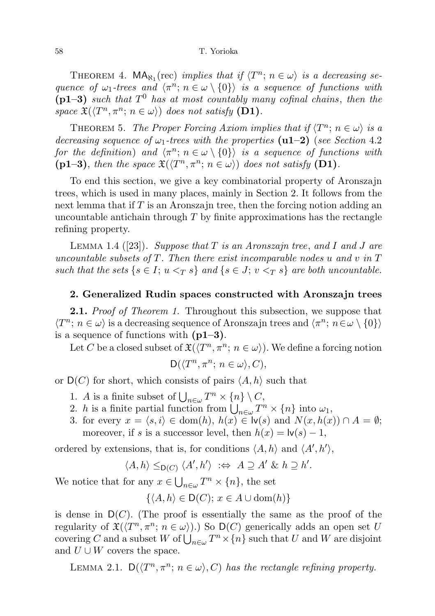THEOREM 4.  $\mathsf{MA}_{\aleph_1}(\text{rec})$  implies that if  $\langle T^n; n \in \omega \rangle$  is a decreasing sequence of  $\omega_1$ -trees and  $\langle \pi^n; n \in \omega \setminus \{0\} \rangle$  is a sequence of functions with  $(p1-3)$  such that  $T^0$  has at most countably many cofinal chains, then the space  $\mathfrak{X}(\langle T^n, \pi^n; n \in \omega \rangle)$  does not satisfy (D1).

THEOREM 5. The Proper Forcing Axiom implies that if  $\langle T^n; n \in \omega \rangle$  is a decreasing sequence of  $\omega_1$ -trees with the properties (**u1–2**) (see Section 4.2) for the definition) and  $\langle \pi^n; n \in \omega \setminus \{0\} \rangle$  is a sequence of functions with (p1-3), then the space  $\mathfrak{X}(\langle T^n, \pi^n; n \in \omega \rangle)$  does not satisfy (D1).

To end this section, we give a key combinatorial property of Aronszajn trees, which is used in many places, mainly in Section 2. It follows from the next lemma that if T is an Aronszajn tree, then the forcing notion adding an uncountable antichain through  $T$  by finite approximations has the rectangle refining property.

LEMMA 1.4 ([23]). Suppose that T is an Aronszajn tree, and I and J are uncountable subsets of  $T$ . Then there exist incomparable nodes u and v in  $T$ such that the sets  $\{s \in I; u <_\mathcal{T} s\}$  and  $\{s \in J; v <_\mathcal{T} s\}$  are both uncountable.

## 2. Generalized Rudin spaces constructed with Aronszajn trees

**2.1.** Proof of Theorem 1. Throughout this subsection, we suppose that  $\langle T^n; n \in \omega \rangle$  is a decreasing sequence of Aronszajn trees and  $\langle \pi^n; n \in \omega \setminus \{0\} \rangle$ is a sequence of functions with  $(p1-3)$ .

Let C be a closed subset of  $\mathfrak{X}(\langle T^n, \pi^n; n \in \omega \rangle)$ . We define a forcing notion

$$
D(\langle T^n, \pi^n; n \in \omega \rangle, C),
$$

or  $D(C)$  for short, which consists of pairs  $\langle A, h \rangle$  such that

- 1. A is a finite subset of  $\bigcup_{n\in\omega}T^n\times\{n\}\setminus C$ ,
- 2. h is a finite partial function from  $\bigcup_{n\in\omega}T^n\times\{n\}$  into  $\omega_1$ ,
- 3. for every  $x = \langle s, i \rangle \in \text{dom}(h)$ ,  $h(x) \in \text{lv}(s)$  and  $N(x, h(x)) \cap A = \emptyset$ ; moreover, if s is a successor level, then  $h(x) = \mathsf{lv}(s) - 1$ ,

ordered by extensions, that is, for conditions  $\langle A, h \rangle$  and  $\langle A', h' \rangle$ ,

$$
\langle A, h \rangle \leq_{\mathsf{D}(C)} \langle A', h' \rangle \ \ \Leftrightarrow \ A \supseteq A' \ \& \ h \supseteq h'.
$$

We notice that for any  $x \in \bigcup_{n \in \omega} T^n \times \{n\}$ , the set

$$
\{\langle A, h \rangle \in \mathsf{D}(C); \, x \in A \cup \text{dom}(h)\}
$$

is dense in  $D(C)$ . (The proof is essentially the same as the proof of the regularity of  $\mathfrak{X}(\langle T^n, \pi^n; n \in \omega \rangle)$ .) So  $\mathsf{D}(C)$  generically adds an open set U covering C and a subset W of  $\bigcup_{n\in\omega}T^n\times\{n\}$  such that U and W are disjoint and  $U \cup W$  covers the space.

LEMMA 2.1.  $D(\langle T^n, \pi^n; n \in \omega \rangle, C)$  has the rectangle refining property.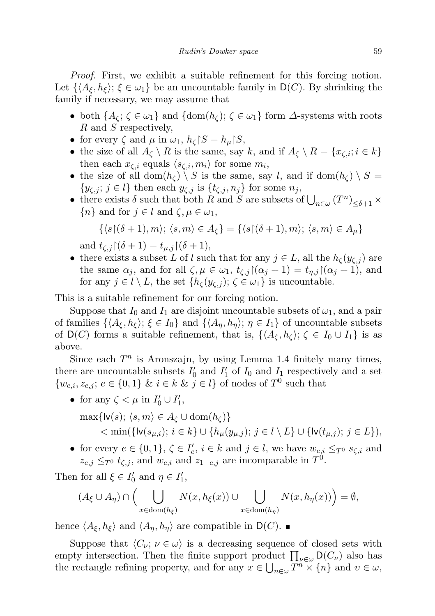Proof. First, we exhibit a suitable refinement for this forcing notion. Let  $\{\langle A_\xi, h_\xi\rangle; \xi \in \omega_1\}$  be an uncountable family in  $\mathsf{D}(C)$ . By shrinking the family if necessary, we may assume that

- both  $\{A_\zeta; \zeta \in \omega_1\}$  and  $\{\text{dom}(h_\zeta); \zeta \in \omega_1\}$  form  $\Delta$ -systems with roots R and S respectively,
- for every  $\zeta$  and  $\mu$  in  $\omega_1$ ,  $h_{\zeta}$   $S = h_{\mu}$   $S$ ,
- the size of all  $A_{\zeta} \setminus R$  is the same, say k, and if  $A_{\zeta} \setminus R = \{x_{\zeta,i}; i \in k\}$ then each  $x_{\zeta,i}$  equals  $\langle s_{\zeta,i}, m_i \rangle$  for some  $m_i$ ,
- the size of all dom $(h_\zeta) \setminus S$  is the same, say l, and if dom $(h_\zeta) \setminus S =$  $\{y_{\zeta,j}; j \in l\}$  then each  $y_{\zeta,j}$  is  $\{t_{\zeta,j}, n_j\}$  for some  $n_j$ ,
- there exists  $\delta$  such that both R and S are subsets of  $\bigcup_{n\in\omega} (T^n)_{\leq \delta+1}\times$  ${n}$  and for  $j \in l$  and  $\zeta, \mu \in \omega_1$ ,

$$
\{\langle s{\restriction}(\delta+1),m\rangle;\,\langle s,m\rangle\in A_\zeta\}=\{\langle s{\restriction}(\delta+1),m\rangle;\,\langle s,m\rangle\in A_\mu\}
$$

and  $t_{\zeta,j}\right\vert (\delta+1) = t_{\mu,j}\vert (\delta+1),$ 

• there exists a subset L of l such that for any  $j \in L$ , all the  $h_{\zeta}(y_{\zeta,j})$  are the same  $\alpha_j$ , and for all  $\zeta, \mu \in \omega_1$ ,  $t_{\zeta,j}$   $[(\alpha_j + 1) = t_{\eta,j}]$   $[(\alpha_j + 1)$ , and for any  $j \in l \setminus L$ , the set  $\{h_{\zeta}(y_{\zeta,j}); \zeta \in \omega_1\}$  is uncountable.

This is a suitable refinement for our forcing notion.

Suppose that  $I_0$  and  $I_1$  are disjoint uncountable subsets of  $\omega_1$ , and a pair of families  $\{\langle A_\xi, h_\xi\rangle; \xi \in I_0\}$  and  $\{\langle A_\eta, h_\eta\rangle; \eta \in I_1\}$  of uncountable subsets of D(C) forms a suitable refinement, that is,  $\{\langle A_{\zeta}, h_{\zeta}\rangle; \zeta \in I_0 \cup I_1\}$  is as above.

Since each  $T<sup>n</sup>$  is Aronszajn, by using Lemma 1.4 finitely many times, there are uncountable subsets  $I'_0$  and  $I'_1$  of  $I_0$  and  $I_1$  respectively and a set  $\{w_{e,i}, z_{e,j}; e \in \{0,1\} \& i \in k \& j \in l\}$  of nodes of  $T^0$  such that

- for any  $\zeta < \mu$  in  $I'_0 \cup I'_1$ ,  $\max\{|\mathsf{v}(s); \langle s, m \rangle \in A_{\zeta} \cup \text{dom}(h_{\zeta})\}\$  $< \min(\{|\mathsf{lv}(s_{u,i}); i \in k\} \cup \{h_u(y_{u,i}); j \in l \setminus L\} \cup \{|\mathsf{lv}(t_{u,i}); j \in L\}),$
- for every  $e \in \{0,1\}$ ,  $\zeta \in I'_e$ ,  $i \in k$  and  $j \in l$ , we have  $w_{e,i} \leq_{T^0} s_{\zeta,i}$  and  $z_{e,j} \leq_{T^0} t_{\zeta,j}$ , and  $w_{e,i}$  and  $z_{1-e,j}$  are incomparable in  $T^0$ .

Then for all  $\xi \in I'_0$  and  $\eta \in I'_1$ ,

$$
(A_{\xi} \cup A_{\eta}) \cap \Big(\bigcup_{x \in \text{dom}(h_{\xi})} N(x, h_{\xi}(x)) \cup \bigcup_{x \in \text{dom}(h_{\eta})} N(x, h_{\eta}(x))\Big) = \emptyset,
$$

hence  $\langle A_{\xi}, h_{\xi} \rangle$  and  $\langle A_{\eta}, h_{\eta} \rangle$  are compatible in D(C).

Suppose that  $\langle C_{\nu}; \nu \in \omega \rangle$  is a decreasing sequence of closed sets with empty intersection. Then the finite support product  $\prod_{\nu \in \omega} D(C_{\nu})$  also has the rectangle refining property, and for any  $x \in \bigcup_{n \in \omega} T^n \times \{n\}$  and  $v \in \omega$ ,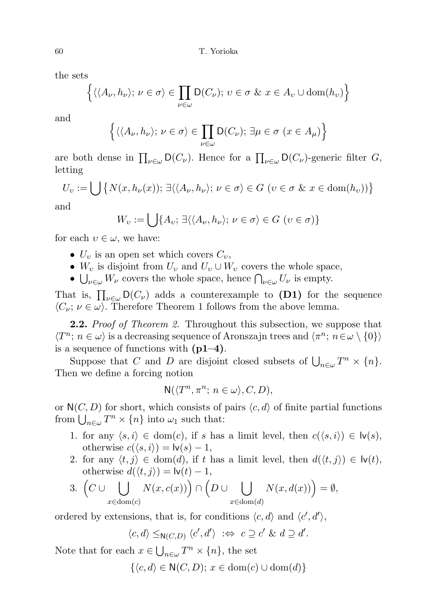the sets

$$
\left\{ \langle \langle A_{\nu}, h_{\nu} \rangle; \, \nu \in \sigma \rangle \in \prod_{\nu \in \omega} \mathsf{D}(C_{\nu}); \, \nu \in \sigma \, \, \& \, \, x \in A_{\nu} \cup \operatorname{dom}(h_{\nu}) \right\}
$$

and

$$
\left\{ \langle \langle A_{\nu}, h_{\nu} \rangle; \, \nu \in \sigma \rangle \in \prod_{\nu \in \omega} \mathsf{D}(C_{\nu}); \, \exists \mu \in \sigma \, (x \in A_{\mu}) \right\}
$$

are both dense in  $\prod_{\nu\in\omega} D(C_{\nu})$ . Hence for a  $\prod_{\nu\in\omega} D(C_{\nu})$ -generic filter G, letting

$$
U_{\nu} := \bigcup \{ N(x, h_{\nu}(x)); \exists \langle \langle A_{\nu}, h_{\nu} \rangle; \nu \in \sigma \rangle \in G \ ( \nu \in \sigma \ \& \ x \in \text{dom}(h_{\nu})) \}
$$

and

$$
W_{\upsilon} := \bigcup \{ A_{\upsilon}; \, \exists \langle \langle A_{\nu}, h_{\nu} \rangle; \, \upsilon \in \sigma \rangle \in G \, (\upsilon \in \sigma) \}
$$

for each  $v \in \omega$ , we have:

- $U_v$  is an open set which covers  $C_v$ ,
- $W_v$  is disjoint from  $U_v$  and  $U_v \cup W_v$  covers the whole space,
- $\bigcup_{\nu \in \omega} W_{\nu}$  covers the whole space, hence  $\bigcap_{\nu \in \omega} U_{\nu}$  is empty.

That is,  $\prod_{\nu\in\omega} D(C_{\nu})$  adds a counterexample to  $(D1)$  for the sequence  $\langle C_{\nu}; \nu \in \omega \rangle$ . Therefore Theorem 1 follows from the above lemma.

**2.2.** Proof of Theorem 2. Throughout this subsection, we suppose that  $\langle T^n; n \in \omega \rangle$  is a decreasing sequence of Aronszajn trees and  $\langle \pi^n; n \in \omega \setminus \{0\} \rangle$ is a sequence of functions with  $(p1-4)$ .

Suppose that C and D are disjoint closed subsets of  $\bigcup_{n\in\omega}T^n\times\{n\}.$ Then we define a forcing notion

$$
\mathsf{N}(\langle T^n, \pi^n; n \in \omega \rangle, C, D),
$$

or  $N(C, D)$  for short, which consists of pairs  $\langle c, d \rangle$  of finite partial functions from  $\bigcup_{n\in\omega}T^n\times\{n\}$  into  $\omega_1$  such that:

- 1. for any  $\langle s, i \rangle \in \text{dom}(c)$ , if s has a limit level, then  $c(\langle s, i \rangle) \in \text{lv}(s)$ , otherwise  $c(\langle s, i \rangle) = |v(s) - 1,$
- 2. for any  $\langle t, j \rangle \in \text{dom}(d)$ , if t has a limit level, then  $d(\langle t, j \rangle) \in \text{lv}(t)$ , otherwise  $d(\langle t, j \rangle) = \mathsf{I} \mathsf{v}(t) - 1$ ,
- 3.  $\begin{pmatrix} C & \cup & \end{pmatrix}$  $x \in \text{dom}(c)$ N(x, c(x)) ∩ D ∪ [  $x \in \text{dom}(d)$  $N(x, d(x)) = \emptyset,$

ordered by extensions, that is, for conditions  $\langle c, d \rangle$  and  $\langle c', d' \rangle$ ,

$$
\langle c, d \rangle \leq_{\mathsf{N}(C,D)} \langle c', d' \rangle \ \ \text{:\Leftrightarrow}\ \ c \supseteq c' \ \ \& \ \ d \supseteq d'.
$$

Note that for each  $x \in \bigcup_{n \in \omega} T^n \times \{n\}$ , the set

 $\{\langle c, d \rangle \in N(C, D); x \in \text{dom}(c) \cup \text{dom}(d)\}\$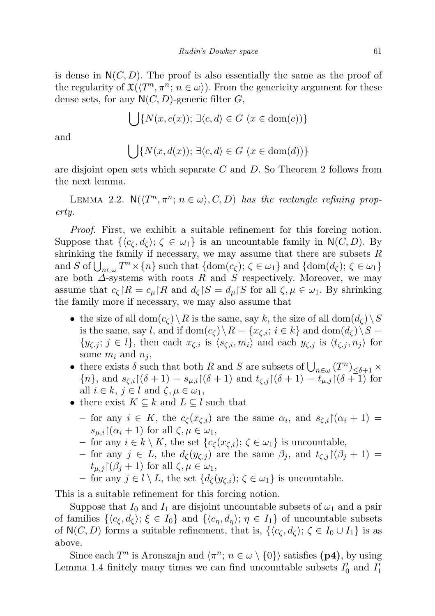is dense in  $N(C, D)$ . The proof is also essentially the same as the proof of the regularity of  $\mathfrak{X}(\langle T^n, \pi^n; n \in \omega \rangle)$ . From the genericity argument for these dense sets, for any  $N(C, D)$ -generic filter G,

$$
\bigcup \{ N(x, c(x)) ; \, \exists \langle c, d \rangle \in G \, (x \in \text{dom}(c)) \}
$$

and

$$
\bigcup \{N(x, d(x)); \ \exists \langle c, d \rangle \in G \ (x \in \text{dom}(d))\}
$$

are disjoint open sets which separate  $C$  and  $D$ . So Theorem 2 follows from the next lemma.

LEMMA 2.2.  $\mathbb{N}(\langle T^n, \pi^n; n \in \omega \rangle, C, D)$  has the rectangle refining property.

Proof. First, we exhibit a suitable refinement for this forcing notion. Suppose that  $\{ \langle c_{\zeta}, d_{\zeta} \rangle; \zeta \in \omega_1 \}$  is an uncountable family in  $N(C, D)$ . By shrinking the family if necessary, we may assume that there are subsets  $R$ and S of  $\bigcup_{n\in\omega}T^n\times\{n\}$  such that  $\{\text{dom}(c_\zeta);\ \zeta\in\omega_1\}$  and  $\{\text{dom}(d_\zeta);\ \zeta\in\omega_1\}$ are both  $\Delta$ -systems with roots R and S respectively. Moreover, we may assume that  $c_{\zeta}$   $R = c_{\mu} R$  and  $d_{\zeta} S = d_{\mu} S$  for all  $\zeta, \mu \in \omega_1$ . By shrinking the family more if necessary, we may also assume that

- the size of all  $\text{dom}(c_{\zeta}) \setminus R$  is the same, say k, the size of all  $\text{dom}(d_{\zeta}) \setminus S$ is the same, say l, and if  $dom(c_{\zeta})\setminus R = \{x_{\zeta,i}; i \in k\}$  and  $dom(d_{\zeta})\setminus S =$  $\{y_{\zeta,i};\,j\in l\}$ , then each  $x_{\zeta,i}$  is  $\langle s_{\zeta,i}, m_i \rangle$  and each  $y_{\zeta,i}$  is  $\langle t_{\zeta,i}, n_i \rangle$  for some  $m_i$  and  $n_j$ ,
- there exists  $\delta$  such that both R and S are subsets of  $\bigcup_{n\in\omega} (T^n)_{\leq \delta+1}$  ×  ${n}$ , and  $s_{\zeta,i}$   $(\delta + 1) = s_{\mu,i}$   $(\delta + 1)$  and  $t_{\zeta,i}$   $(\delta + 1) = t_{\mu,i}$   $(\delta + 1)$  for all  $i \in k, j \in l$  and  $\zeta, \mu \in \omega_1$ ,
- there exist  $K \subseteq k$  and  $L \subseteq l$  such that
	- for any *i* ∈ K, the  $c_\zeta(x_{\zeta,i})$  are the same  $\alpha_i$ , and  $s_{\zeta,i}$  |  $(\alpha_i + 1)$  =  $s_{\mu,i}$ [ $(\alpha_i + 1)$  for all  $\zeta, \mu \in \omega_1$ ,
	- for any  $i \in k \setminus K$ , the set  $\{c_{\zeta}(x_{\zeta,i}); \zeta \in \omega_1\}$  is uncountable,
	- for any  $j \in L$ , the  $d_{\zeta}(y_{\zeta,j})$  are the same  $\beta_j$ , and  $t_{\zeta,j}$   $(\beta_j + 1) =$  $t_{\mu,j}$   $(\beta_j + 1)$  for all  $\zeta, \mu \in \omega_1$ ,
	- for any  $j \in l \setminus L$ , the set  $\{d_{\zeta}(y_{\zeta,i}); \zeta \in \omega_1\}$  is uncountable.

This is a suitable refinement for this forcing notion.

Suppose that  $I_0$  and  $I_1$  are disjoint uncountable subsets of  $\omega_1$  and a pair of families  $\{\langle c_{\xi}, d_{\xi}\rangle; \xi \in I_0\}$  and  $\{\langle c_{\eta}, d_{\eta}\rangle; \eta \in I_1\}$  of uncountable subsets of  $N(C, D)$  forms a suitable refinement, that is,  $\{\langle c_{\zeta}, d_{\zeta}\rangle; \zeta \in I_0 \cup I_1\}$  is as above.

Since each  $T^n$  is Aronszajn and  $\langle \pi^n; n \in \omega \setminus \{0\} \rangle$  satisfies (p4), by using Lemma 1.4 finitely many times we can find uncountable subsets  $I'_0$  and  $I'_1$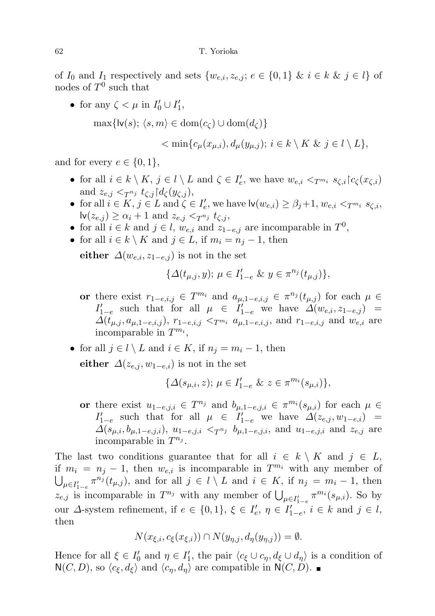of  $I_0$  and  $I_1$  respectively and sets  $\{w_{e,i}, z_{e,j}; e \in \{0,1\} \& i \in k \& j \in l\}$  of nodes of  $T^0$  such that

• for any  $\zeta < \mu$  in  $I'_0 \cup I'_1$ ,

 $\max\{N(s); \langle s, m \rangle \in \text{dom}(c_{\zeta}) \cup \text{dom}(d_{\zeta})\}$ 

$$
\langle \min\{c_{\mu}(x_{\mu,i}), d_{\mu}(y_{\mu,j}); i \in k \setminus K \& j \in l \setminus L\},\
$$

and for every  $e \in \{0,1\},\$ 

- for all  $i \in k \setminus K$ ,  $j \in l \setminus L$  and  $\zeta \in I'_{e}$ , we have  $w_{e,i} <_{T^{m_i}} s_{\zeta,i} c_{\zeta}(x_{\zeta,i})$ and  $z_{e,j} <_{T^{n_j}} t_{\zeta,j} \upharpoonright d_{\zeta}(y_{\zeta,j}),$
- for all  $i \in K$ ,  $j \in L$  and  $\zeta \in I'_{e}$ , we have  $\mathsf{lv}(w_{e,i}) \geq \beta_j+1$ ,  $w_{e,i} <_{T^{m_i}} s_{\zeta,i}$ ,  $\mathsf{lv}(z_{e,j}) \geq \alpha_i + 1$  and  $z_{e,j} <_{T^{n_j}} t_{\zeta,j}$ ,
- for all  $i \in k$  and  $j \in l$ ,  $w_{e,i}$  and  $z_{1-e,j}$  are incomparable in  $T^0$ ,
- for all  $i \in k \setminus K$  and  $j \in L$ , if  $m_i = n_j 1$ , then

either  $\Delta(w_{e,i}, z_{1-e,j})$  is not in the set

$$
\{\varDelta(t_{\mu,j},y);\,\mu\in I_{1-e}'\ \&\ y\in \pi^{n_j}(t_{\mu,j})\},
$$

- or there exist  $r_{1-e,i,j} \in T^{m_i}$  and  $a_{\mu,1-e,i,j} \in \pi^{n_j}(t_{\mu,j})$  for each  $\mu \in$  $I'_{1-e}$  such that for all  $\mu \in I'_{1-e}$  we have  $\Delta(w_{e,i}, z_{1-e,j})$  $\Delta(t_{\mu,j}, a_{\mu,1-e,i,j}), r_{1-e,i,j} \lt_{T^{m_i}} a_{\mu,1-e,i,j}, \text{ and } r_{1-e,i,j} \text{ and } w_{e,i} \text{ are}$ incomparable in  $T^{m_i}$ ,
- for all  $j \in l \setminus L$  and  $i \in K$ , if  $n_j = m_i 1$ , then
	- either  $\Delta(z_{e,i}, w_{1-e,i})$  is not in the set

$$
\{\varDelta(s_{\mu,i},z);\,\mu\in I'_{1-e}\ \&\ z\in\pi^{m_i}(s_{\mu,i})\},
$$

or there exist  $u_{1-e,j,i} \in T^{n_j}$  and  $b_{\mu,1-e,j,i} \in \pi^{m_i}(s_{\mu,i})$  for each  $\mu \in$  $I'_{1-e}$  such that for all  $\mu \in I'_{1-e}$  we have  $\Delta(z_{e,j}, w_{1-e,i})$  $\Delta(s_{\mu,i}, b_{\mu,1-e,j,i}), u_{1-e,j,i} \lt_{T^{n_j}} b_{\mu,1-e,j,i}, \text{ and } u_{1-e,j,i} \text{ and } z_{e,j} \text{ are}$ incomparable in  $T^{n_j}$ .

The last two conditions guarantee that for all  $i \in k \setminus K$  and  $j \in L$ , if  $m_i = n_j - 1$ , then  $w_{e,i}$  is incomparable in  $T^{m_i}$  with any member of  $\bigcup_{\mu \in I'_{1-\epsilon}} \pi^{n_j}(t_{\mu,j}),$  and for all  $j \in l \setminus L$  and  $i \in K$ , if  $n_j = m_i - 1$ , then  $z_{e,j}$  is incomparable in  $T^{n_j}$  with any member of  $\bigcup_{\mu \in I'_{1-e}}^{\infty} \pi^{m_i}(s_{\mu,i})$ . So by our  $\Delta$ -system refinement, if  $e \in \{0,1\}$ ,  $\xi \in I'_{e}, \eta \in I'_{1-e}, i \in k$  and  $j \in l$ , then

$$
N(x_{\xi,i},c_{\xi}(x_{\xi,i})) \cap N(y_{\eta,j},d_{\eta}(y_{\eta,j})) = \emptyset.
$$

Hence for all  $\xi \in I'_0$  and  $\eta \in I'_1$ , the pair  $\langle c_{\xi} \cup c_{\eta}, d_{\xi} \cup d_{\eta} \rangle$  is a condition of  $N(C, D)$ , so  $\langle c_{\xi}, d_{\xi} \rangle$  and  $\langle c_{\eta}, d_{\eta} \rangle$  are compatible in  $N(C, D)$ .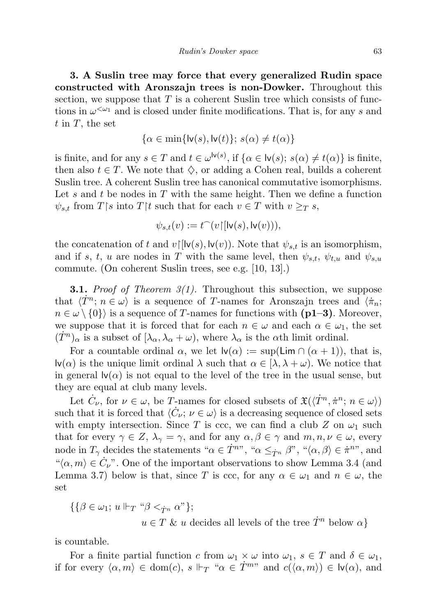3. A Suslin tree may force that every generalized Rudin space constructed with Aronszajn trees is non-Dowker. Throughout this section, we suppose that  $T$  is a coherent Suslin tree which consists of functions in  $\omega^{\langle \omega_1 \rangle}$  and is closed under finite modifications. That is, for any s and  $t$  in  $T$ , the set

$$
\{\alpha \in \min\{\text{lv}(s), \text{lv}(t)\};\, s(\alpha) \neq t(\alpha)\}
$$

is finite, and for any  $s \in T$  and  $t \in \omega^{\mathsf{lv}(s)}$ , if  $\{\alpha \in \mathsf{lv}(s); s(\alpha) \neq t(\alpha)\}\$ is finite, then also  $t \in T$ . We note that  $\Diamond$ , or adding a Cohen real, builds a coherent Suslin tree. A coherent Suslin tree has canonical commutative isomorphisms. Let s and t be nodes in T with the same height. Then we define a function  $\psi_{s,t}$  from  $T\upharpoonright s$  into  $T\upharpoonright t$  such that for each  $v \in T$  with  $v \geq_T s$ ,

$$
\psi_{s,t}(v):=t^\frown(v{\restriction}[\mathsf{lv}(s),\mathsf{lv}(v))),
$$

the concatenation of t and  $v\upharpoonright$  [ $\mathsf{lv}(s), \mathsf{lv}(v)$ ). Note that  $\psi_{s,t}$  is an isomorphism, and if s, t, u are nodes in T with the same level, then  $\psi_{s,t}$ ,  $\psi_{t,u}$  and  $\psi_{s,u}$ commute. (On coherent Suslin trees, see e.g. [10, 13].)

**3.1.** Proof of Theorem  $3(1)$ . Throughout this subsection, we suppose that  $\langle T^n; n \in \omega \rangle$  is a sequence of T-names for Aronszajn trees and  $\langle \dot{\pi}_n;$  $n \in \omega \setminus \{0\}$  is a sequence of T-names for functions with (p1–3). Moreover, we suppose that it is forced that for each  $n \in \omega$  and each  $\alpha \in \omega_1$ , the set  $(T^n)_{\alpha}$  is a subset of  $[\lambda_{\alpha}, \lambda_{\alpha} + \omega)$ , where  $\lambda_{\alpha}$  is the  $\alpha$ th limit ordinal.

For a countable ordinal  $\alpha$ , we let  $\mathsf{lv}(\alpha) := \sup(\mathsf{Lim} \cap (\alpha+1)),$  that is,  $\mathsf{Iv}(\alpha)$  is the unique limit ordinal  $\lambda$  such that  $\alpha \in [\lambda, \lambda + \omega)$ . We notice that in general  $\mathsf{lv}(\alpha)$  is not equal to the level of the tree in the usual sense, but they are equal at club many levels.

Let  $\dot{C}_{\nu}$ , for  $\nu \in \omega$ , be T-names for closed subsets of  $\mathfrak{X}(\langle \dot{T}^n, \dot{\pi}^n; n \in \omega \rangle)$ such that it is forced that  $\langle \dot{C}_\nu; \nu \in \omega \rangle$  is a decreasing sequence of closed sets with empty intersection. Since T is ccc, we can find a club Z on  $\omega_1$  such that for every  $\gamma \in \mathbb{Z}$ ,  $\lambda_{\gamma} = \gamma$ , and for any  $\alpha, \beta \in \gamma$  and  $m, n, \nu \in \omega$ , every node in  $T_\gamma$  decides the statements " $\alpha \in T^{n}$ ", " $\alpha \leq_{T^n} \beta$ ", " $\langle \alpha, \beta \rangle \in \pi^{n}$ ", and  $\langle \alpha, m \rangle \in \dot{C}_{\nu}$ ". One of the important observations to show Lemma 3.4 (and Lemma 3.7) below is that, since T is ccc, for any  $\alpha \in \omega_1$  and  $n \in \omega$ , the set

$$
\{\{\beta \in \omega_1; u \Vdash_T \text{``$\beta$ <$\gamma_n$ $\alpha$''}\};
$$
  

$$
u \in T \text{ < $u$ decides all levels of the tree $\dot{T}^n$ below $\alpha$}\}
$$

is countable.

For a finite partial function c from  $\omega_1 \times \omega$  into  $\omega_1, s \in T$  and  $\delta \in \omega_1$ , if for every  $\langle \alpha, m \rangle \in \text{dom}(c), s \Vdash_T \text{``}\alpha \in \dot{T}^{m}$ " and  $c(\langle \alpha, m \rangle) \in \text{lv}(\alpha)$ , and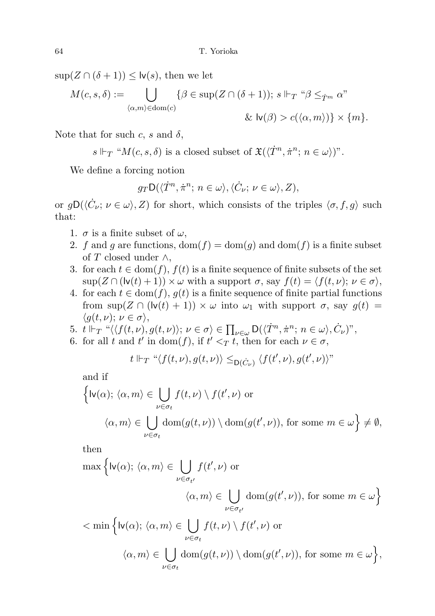$\sup(Z \cap (\delta + 1)) \leq \mathsf{lv}(s)$ , then we let

$$
M(c, s, \delta) := \bigcup_{\langle \alpha, m \rangle \in \text{dom}(c)} \{ \beta \in \text{sup}(Z \cap (\delta + 1)); \ s \Vdash_T \text{``$\beta \leq_{\dot{T}^m}$ $\alpha$''} \}
$$

$$
\& \ \text{lv}(\beta) > c(\langle \alpha, m \rangle) \} \times \{m\}.
$$

Note that for such c, s and  $\delta$ ,

$$
s \Vdash_T \text{``} M(c, s, \delta) \text{ is a closed subset of } \mathfrak{X}(\langle \dot{T}^n, \dot{\pi}^n; n \in \omega \rangle) \text{''}.
$$

We define a forcing notion

$$
g_T\mathsf{D}(\langle \dot{T}^n, \dot{\pi}^n; n \in \omega \rangle, \langle \dot{C}_\nu; \nu \in \omega \rangle, Z),
$$

or  $g\mathsf{D}(\langle \dot{C}_{\nu}; \nu \in \omega \rangle, Z)$  for short, which consists of the triples  $\langle \sigma, f, g \rangle$  such that:

- 1.  $\sigma$  is a finite subset of  $\omega$ ,
- 2. f and g are functions,  $dom(f) = dom(g)$  and  $dom(f)$  is a finite subset of T closed under  $\wedge$ ,
- 3. for each  $t \in \text{dom}(f)$ ,  $f(t)$  is a finite sequence of finite subsets of the set  $\sup(Z \cap (l\nu(t) + 1)) \times \omega$  with a support  $\sigma$ , say  $f(t) = \langle f(t, \nu); \nu \in \sigma \rangle$ ,
- 4. for each  $t \in \text{dom}(f)$ ,  $g(t)$  is a finite sequence of finite partial functions from sup( $Z \cap (l\nu(t) + 1) \times \omega$  into  $\omega_1$  with support  $\sigma$ , say  $g(t) =$  $\langle g(t, \nu); \nu \in \sigma \rangle,$
- 5.  $t \Vdash_T \sqrt[\mu]{\langle f(t,\nu), g(t,\nu) \rangle}; \nu \in \sigma\rangle \in \prod_{\nu \in \omega} D(\langle \dot{T}^n, \dot{\pi}^n; n \in \omega \rangle, \dot{C}_{\nu})$ ",
- 6. for all t and t' in dom(f), if  $t' <_T t$ , then for each  $\nu \in \sigma$ ,

$$
t \Vdash_T ``\langle f(t,\nu),g(t,\nu)\rangle \leq_{\mathsf{D}(\dot{C}_{\nu})} \langle f(t',\nu),g(t',\nu)\rangle"
$$

and if

$$
\left\{ \begin{aligned} &\text{lv}(\alpha); \ \langle \alpha, m \rangle \in \bigcup_{\nu \in \sigma_t} f(t, \nu) \setminus f(t', \nu) \text{ or } \\ &\langle \alpha, m \rangle \in \bigcup_{\nu \in \sigma_t} \text{dom}(g(t, \nu)) \setminus \text{dom}(g(t', \nu)), \text{ for some } m \in \omega \right\} \neq \emptyset, \end{aligned} \right.
$$

then

$$
\max \Big\{ \mathrm{lv}(\alpha); \, \langle \alpha, m \rangle \in \bigcup_{\nu \in \sigma_{t'}} f(t', \nu) \text{ or}
$$
\n
$$
\langle \alpha, m \rangle \in \bigcup_{\nu \in \sigma_{t'}} \text{dom}(g(t', \nu)), \text{ for some } m \in \omega \Big\}
$$
\n
$$
< \min \Big\{ \mathrm{lv}(\alpha); \, \langle \alpha, m \rangle \in \bigcup_{\nu \in \sigma_t} f(t, \nu) \setminus f(t', \nu) \text{ or}
$$
\n
$$
\langle \alpha, m \rangle \in \bigcup_{\nu \in \sigma_t} \text{dom}(g(t, \nu)) \setminus \text{dom}(g(t', \nu)), \text{ for some } m \in \omega \Big\},
$$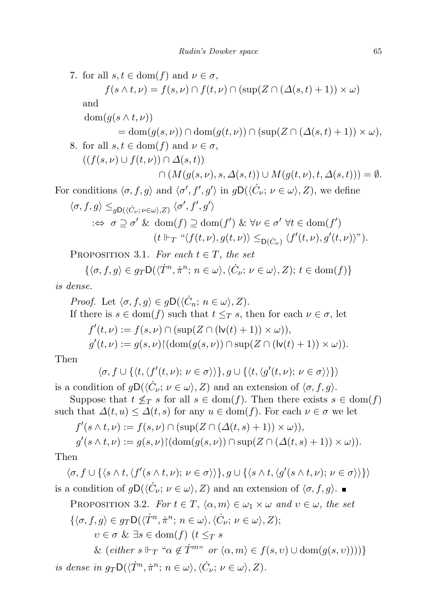7. for all 
$$
s, t \in \text{dom}(f)
$$
 and  $\nu \in \sigma$ ,  
\n $f(s \wedge t, \nu) = f(s, \nu) \cap f(t, \nu) \cap (\text{sup}(Z \cap (\Delta(s, t) + 1)) \times \omega)$   
\nand  
\n $\text{dom}(g(s \wedge t, \nu))$   
\n $= \text{dom}(g(s, \nu)) \cap \text{dom}(g(t, \nu)) \cap (\text{sup}(Z \cap (\Delta(s, t) + 1)) \times \omega)$ ,  
\n8. for all  $s, t \in \text{dom}(f)$  and  $\nu \in \sigma$ ,  
\n $((f(s, \nu) \cup f(t, \nu)) \cap \Delta(s, t))$   
\n $\cap (M(g(s, \nu), s, \Delta(s, t)) \cup M(g(t, \nu), t, \Delta(s, t))) = \emptyset$ .  
\nFor conditions  $\langle \sigma, f, g \rangle$  and  $\langle \sigma', f', g' \rangle$  in  $gD(\langle \dot{C}_{\nu}; \nu \in \omega \rangle, Z)$ , we define  
\n $\langle \sigma, f, g \rangle \leq_{gD(\langle \dot{C}_{\nu}; \nu \in \omega \rangle, Z)} \langle \sigma', f', g' \rangle$   
\n $\therefore \Leftrightarrow \sigma \supseteq \sigma' \& \text{ dom}(f) \supseteq \text{dom}(f') \& \forall \nu \in \sigma' \forall t \in \text{dom}(f')$   
\n $(t \Vdash_{T} " \langle f(t, \nu), g(t, \nu) \rangle \leq_{D(\dot{C}_{\nu})} \langle f'(t, \nu), g'(t, \nu) \rangle)$ .

PROPOSITION 3.1. For each  $t \in T$ , the set

$$
\{\langle \sigma, f, g\rangle \in g_T \mathsf D(\langle \dot{T}^n, \dot{\pi}^n;\, n\in\omega\rangle, \langle \dot{C}_\nu;\, \nu\in\omega\rangle, Z); \, t\in\mathrm{dom}(f)\}
$$

is dense.

*Proof.* Let 
$$
\langle \sigma, f, g \rangle \in g\mathcal{D}(\langle \dot{C}_n; n \in \omega \rangle, Z)
$$
.  
If there is  $s \in \text{dom}(f)$  such that  $t \leq_T s$ , then for each  $\nu \in \sigma$ , let

$$
f'(t,\nu) := f(s,\nu) \cap (\sup(Z \cap (\text{lv}(t) + 1)) \times \omega)),
$$
  

$$
g'(t,\nu) := g(s,\nu) \upharpoonright (\text{dom}(g(s,\nu)) \cap \text{sup}(Z \cap (\text{lv}(t) + 1)) \times \omega)).
$$

Then

$$
\langle \sigma, f \cup \{ \langle t, \langle f'(t,\nu); \nu \in \sigma \rangle \rangle \}, g \cup \{ \langle t, \langle g'(t,\nu); \nu \in \sigma \rangle \rangle \} \rangle
$$

is a condition of  $g\mathsf{D}(\langle \dot{C}_{\nu}; \nu \in \omega \rangle, Z)$  and an extension of  $\langle \sigma, f, g \rangle$ .

Suppose that  $t \nleq_T s$  for all  $s \in \text{dom}(f)$ . Then there exists  $s \in \text{dom}(f)$ such that  $\Delta(t, u) \leq \Delta(t, s)$  for any  $u \in \text{dom}(f)$ . For each  $\nu \in \sigma$  we let

$$
f'(s \wedge t, \nu) := f(s, \nu) \cap (\sup(Z \cap (\Delta(t, s) + 1)) \times \omega)),
$$
  

$$
g'(s \wedge t, \nu) := g(s, \nu) [(\text{dom}(g(s, \nu)) \cap \text{sup}(Z \cap (\Delta(t, s) + 1)) \times \omega)).
$$

Then

 $\langle \sigma, f \cup \{ \langle s \wedge t, \langle f'(s \wedge t, \nu); \nu \in \sigma \rangle \rangle \}, g \cup \{ \langle s \wedge t, \langle g'(s \wedge t, \nu); \nu \in \sigma \rangle \rangle \} \rangle$ is a condition of  $g\mathsf{D}(\langle \dot{C}_{\nu}; \nu \in \omega \rangle, Z)$  and an extension of  $\langle \sigma, f, g \rangle$ .

PROPOSITION 3.2. For 
$$
t \in T
$$
,  $\langle \alpha, m \rangle \in \omega_1 \times \omega$  and  $v \in \omega$ , the set

$$
\{\langle \sigma, f, g \rangle \in g_T \mathsf{D}(\langle \dot{T}^n, \dot{\pi}^n; n \in \omega \rangle, \langle \dot{C}_\nu; \nu \in \omega \rangle, Z);
$$
  
\n
$$
v \in \sigma \& \exists s \in \text{dom}(f) \ (t \leq_T s
$$
  
\n
$$
\& \ (either \ s \Vdash_T " \alpha \notin \dot{T}^{mr} \ or \ \langle \alpha, m \rangle \in f(s, v) \cup \text{dom}(g(s, v))))\}
$$
  
\nis dense in  $g_T \mathsf{D}(\langle \dot{T}^n, \dot{\pi}^n; n \in \omega \rangle, \langle \dot{C}_\nu; \nu \in \omega \rangle, Z).$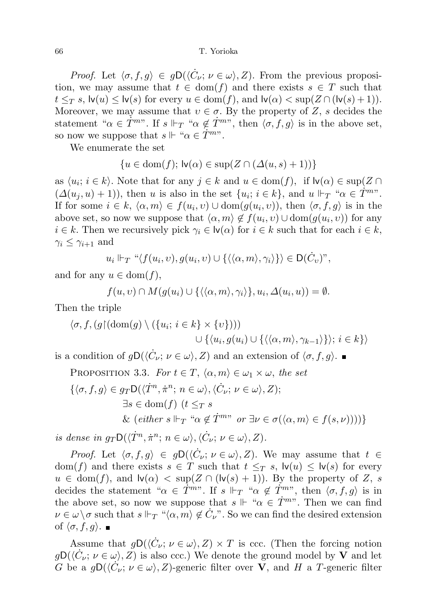#### 66 T. Yorioka

*Proof.* Let  $\langle \sigma, f, g \rangle \in gD(\langle \dot{C}_\nu; \nu \in \omega \rangle, Z)$ . From the previous proposition, we may assume that  $t \in \text{dom}(f)$  and there exists  $s \in T$  such that  $t \leq_T s$ ,  $w(u) \leq w(s)$  for every  $u \in \text{dom}(f)$ , and  $w(\alpha) < \sup(Z \cap (w(s) + 1))$ . Moreover, we may assume that  $v \in \sigma$ . By the property of Z, s decides the statement " $\alpha \in \dot{T}^{m}$ ". If  $s \Vdash_T " \alpha \notin \dot{T}^{m}$ ", then  $\langle \sigma, f, g \rangle$  is in the above set, so now we suppose that  $s \Vdash " \alpha \in \dot{T}^{m}$ ".

We enumerate the set

$$
\{u \in \text{dom}(f); \mathsf{lv}(\alpha) \in \text{sup}(Z \cap (\Delta(u, s) + 1))\}
$$

as  $\langle u_i; i \in k \rangle$ . Note that for any  $j \in k$  and  $u \in \text{dom}(f)$ , if  $\mathsf{lv}(\alpha) \in \text{sup}(Z \cap$  $(\Delta(u_j, u) + 1)$ , then u is also in the set  $\{u_i : i \in k\}$ , and  $u \Vdash_T " \alpha \in \dot{T}^{m}$ ". If for some  $i \in k$ ,  $\langle \alpha, m \rangle \in f(u_i, v) \cup \text{dom}(g(u_i, v))$ , then  $\langle \sigma, f, g \rangle$  is in the above set, so now we suppose that  $\langle \alpha, m \rangle \notin f(u_i, v) \cup \text{dom}(g(u_i, v))$  for any  $i \in k$ . Then we recursively pick  $\gamma_i \in \mathsf{lv}(\alpha)$  for  $i \in k$  such that for each  $i \in k$ ,  $\gamma_i \leq \gamma_{i+1}$  and

$$
u_i \Vdash_T ``\langle f(u_i, v), g(u_i, v) \cup \{\langle\langle \alpha, m \rangle, \gamma_i \rangle\} \rangle \in \mathsf{D}(\dot{C}_v)",
$$

and for any  $u \in \text{dom}(f)$ ,

$$
f(u, v) \cap M(g(u_i) \cup \{ \langle \langle \alpha, m \rangle, \gamma_i \rangle \}, u_i, \Delta(u_i, u)) = \emptyset.
$$

Then the triple

$$
\langle \sigma, f, (g \restriction (\text{dom}(g) \setminus (\{u_i; i \in k\} \times \{v\})))
$$
  

$$
\cup \{ \langle u_i, g(u_i) \cup \{ \langle \alpha, m \rangle, \gamma_{k-1} \rangle \} \rangle; i \in k \} \rangle
$$

is a condition of  $g\mathsf{D}(\langle \dot{C}_{\nu}; \nu \in \omega \rangle, Z)$  and an extension of  $\langle \sigma, f, g \rangle$ .

PROPOSITION 3.3. For  $t \in T$ ,  $\langle \alpha, m \rangle \in \omega_1 \times \omega$ , the set

$$
\{\langle \sigma, f, g \rangle \in g_T \mathsf{D}(\langle \dot{T}^n, \dot{\pi}^n; n \in \omega \rangle, \langle \dot{C}_{\nu}; \nu \in \omega \rangle, Z);
$$
  
\n
$$
\exists s \in \text{dom}(f) \ (t \leq_T s
$$
  
\n& (either  $s \Vdash_T " \alpha \notin \dot{T}^m"$  or  $\exists \nu \in \sigma(\langle \alpha, m \rangle \in f(s, \nu))))\}$ 

is dense in  $g_T \mathsf{D}(\langle \dot{T}^n, \dot{\pi}^n; n \in \omega \rangle, \langle \dot{C}_\nu; \nu \in \omega \rangle, Z)$ .

*Proof.* Let  $\langle \sigma, f, g \rangle \in gD(\langle \dot{C}_\nu; \nu \in \omega \rangle, Z)$ . We may assume that  $t \in$  $dom(f)$  and there exists  $s \in T$  such that  $t \leq_T s$ ,  $\mathsf{lv}(u) \leq \mathsf{lv}(s)$  for every  $u \in \text{dom}(f)$ , and  $\mathsf{lv}(\alpha) < \text{sup}(Z \cap (\mathsf{lv}(s) + 1))$ . By the property of Z, s decides the statement " $\alpha \in \dot{T}^{m}$ ". If  $s \Vdash_T " \alpha \notin \dot{T}^{m}$ ", then  $\langle \sigma, f, g \rangle$  is in the above set, so now we suppose that  $s \Vdash " \alpha \in \dot{T}^{m}$ ". Then we can find  $\nu \in \omega \setminus \sigma$  such that  $s \Vdash_T \urcorner \langle \alpha, m \rangle \not\in \dot{C}_{\nu}$ ". So we can find the desired extension of  $\langle \sigma, f, g \rangle$ .

Assume that  $g\mathsf{D}(\langle \dot{C}_{\nu}; \nu \in \omega \rangle, Z) \times T$  is ccc. (Then the forcing notion  $g\mathsf{D}(\langle \dot{C}_{\nu};\nu\in\omega\rangle,\mathbf{Z})$  is also ccc.) We denote the ground model by  $\mathbf{V}$  and let G be a  $g\mathsf{D}(\langle \dot{C}_{\nu}; \nu \in \omega \rangle, Z)$ -generic filter over  $\check{\mathbf{V}}$ , and H a T-generic filter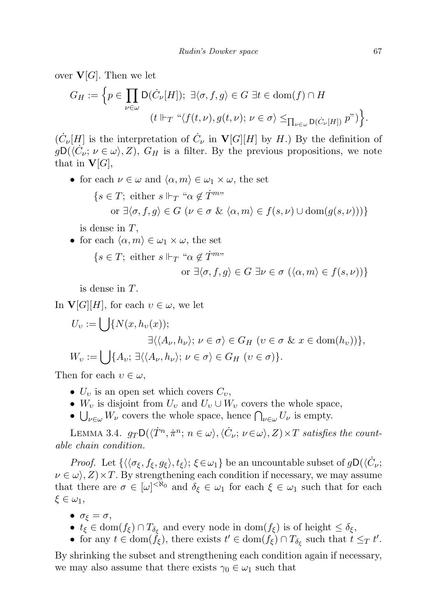over  $\mathbf{V}[G]$ . Then we let

$$
G_H := \Big\{ p \in \prod_{\nu \in \omega} \mathsf{D}(\dot{C}_{\nu}[H]); \ \exists \langle \sigma, f, g \rangle \in G \ \exists t \in \text{dom}(f) \cap H
$$

$$
(t \Vdash_T \text{``}\langle f(t, \nu), g(t, \nu); \ \nu \in \sigma \rangle \leq_{\prod_{\nu \in \omega} \mathsf{D}(\dot{C}_{\nu}[H])} p\text{''}) \Big\}.
$$

 $(\dot{C}_{\nu}[H]$  is the interpretation of  $\dot{C}_{\nu}$  in  $\mathbf{V}[G][H]$  by H.) By the definition of  $gD(\langle C_\nu; \nu \in \omega \rangle, Z)$ ,  $G_H$  is a filter. By the previous propositions, we note that in  $\mathbf{V}[G],$ 

• for each  $\nu \in \omega$  and  $\langle \alpha, m \rangle \in \omega_1 \times \omega$ , the set

$$
\{s \in T; \text{ either } s \Vdash_T \text{``}\alpha \notin \dot{T}^m\text{''}
$$
  
or  $\exists \langle \sigma, f, g \rangle \in G \ (\nu \in \sigma \ \& \ \langle \alpha, m \rangle \in f(s, \nu) \cup \text{dom}(g(s, \nu)))\}$ 

is dense in T,

• for each  $\langle \alpha, m \rangle \in \omega_1 \times \omega$ , the set  $\{s \in T; \text{ either } s \Vdash_T ``\alpha \notin \dot{T}^{m}$ 

or 
$$
\exists \langle \sigma, f, g \rangle \in G \exists \nu \in \sigma (\langle \alpha, m \rangle \in f(s, \nu)) \}
$$

is dense in T.

In  $\mathbf{V}[G][H]$ , for each  $v \in \omega$ , we let

$$
U_{\upsilon} := \bigcup \{ N(x, h_{\upsilon}(x));
$$
  

$$
\exists \langle \langle A_{\nu}, h_{\nu} \rangle; \ \nu \in \sigma \rangle \in G_H \ ( \upsilon \in \sigma \ \& \ x \in \text{dom}(h_{\upsilon})) \},
$$
  

$$
W_{\upsilon} := \bigcup \{ A_{\upsilon}; \ \exists \langle \langle A_{\nu}, h_{\nu} \rangle; \ \nu \in \sigma \rangle \in G_H \ (\upsilon \in \sigma) \}.
$$

Then for each  $v \in \omega$ ,

- $U_v$  is an open set which covers  $C_v$ ,
- $W_v$  is disjoint from  $U_v$  and  $U_v \cup W_v$  covers the whole space,
- $\bigcup_{\nu \in \omega} W_{\nu}$  covers the whole space, hence  $\bigcap_{\nu \in \omega} U_{\nu}$  is empty.

LEMMA 3.4.  $g_T \mathsf{D}(\langle \dot{T}^n, \dot{\pi}^n; n \in \omega \rangle, \langle \dot{C}_\nu; \nu \in \omega \rangle, Z) \times T$  satisfies the countable chain condition.

*Proof.* Let  $\{\langle \langle \sigma_{\xi}, f_{\xi}, g_{\xi} \rangle, t_{\xi} \rangle; \xi \in \omega_1\}$  be an uncountable subset of  $g\mathsf{D}(\langle \dot{C}_{\nu};$  $\nu \in \omega$ ,  $Z \times T$ . By strengthening each condition if necessary, we may assume that there are  $\sigma \in [\omega]^{< \aleph_0}$  and  $\delta_\xi \in \omega_1$  for each  $\xi \in \omega_1$  such that for each  $\xi \in \omega_1$ ,

- $\sigma_{\xi} = \sigma$ ,
- $t_{\xi} \in \text{dom}(f_{\xi}) \cap T_{\delta_{\xi}}$  and every node in  $\text{dom}(f_{\xi})$  is of height  $\leq \delta_{\xi}$ ,
- for any  $t \in \text{dom}(\tilde{f}_{\xi})$ , there exists  $t' \in \text{dom}(f_{\xi}) \cap T_{\delta_{\xi}}$  such that  $t \leq T$  t'.

By shrinking the subset and strengthening each condition again if necessary, we may also assume that there exists  $\gamma_0 \in \omega_1$  such that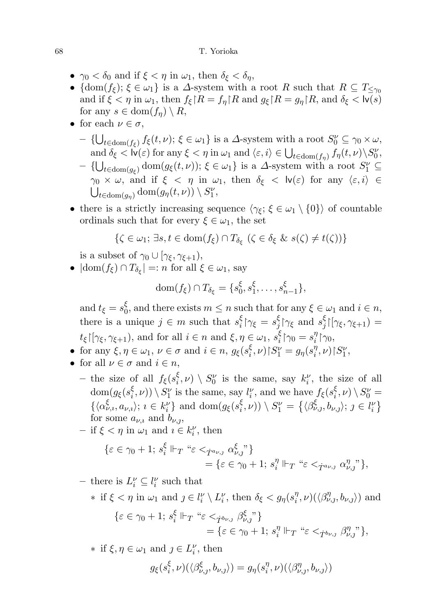### 68 T. Yorioka

- $\gamma_0 < \delta_0$  and if  $\xi < \eta$  in  $\omega_1$ , then  $\delta_{\xi} < \delta_{\eta}$ ,
- {dom( $f_{\xi}$ );  $\xi \in \omega_1$ } is a  $\Delta$ -system with a root R such that  $R \subseteq T_{\leq \gamma_0}$ and if  $\xi < \eta$  in  $\omega_1$ , then  $f_{\xi} | R = f_{\eta} | R$  and  $g_{\xi} | R = g_{\eta} | R$ , and  $\delta_{\xi} < \mathsf{lv}(s)$ for any  $s \in \text{dom}(f_n) \setminus R$ ,
- for each  $\nu \in \sigma$ ,
	- $\{\bigcup_{t \in \text{dom}(f_{\xi})} f_{\xi}(t,\nu); \xi \in \omega_1\} \text{ is a } \Delta \text{-system with a root } S_0^{\nu} \subseteq \gamma_0 \times \omega,$ and  $\delta_{\xi} < \mathsf{lv}(\varepsilon)$  for any  $\xi < \eta$  in  $\omega_1$  and  $\langle \varepsilon, i \rangle \in \bigcup_{t \in \text{dom}(f_{\eta})} f_{\eta}(t, \nu) \backslash S_0^{\nu}$ ,
	- $\{\bigcup_{t \in \text{dom}(g_{\xi})} \text{dom}(g_{\xi}(t,\nu)); \xi \in \omega_1\}$  is a  $\Delta$ -system with a root  $S_1^{\nu} \subseteq$  $\gamma_0 \times \omega$ , and if  $\xi \leq \eta$  in  $\omega_1$ , then  $\delta_{\xi} \leq \nu(\varepsilon)$  for any  $\langle \varepsilon, i \rangle \in$  $\bigcup_{t \in \text{dom}(g_{\eta})} \text{dom}(g_{\eta}(t,\nu)) \setminus S_1^{\nu},$
- there is a strictly increasing sequence  $\langle \gamma_{\xi}; \xi \in \omega_1 \setminus \{0\} \rangle$  of countable ordinals such that for every  $\xi \in \omega_1$ , the set

$$
\{\zeta \in \omega_1; \ \exists s, t \in \text{dom}(f_{\xi}) \cap T_{\delta_{\xi}} \ (\zeta \in \delta_{\xi} \ \& \ s(\zeta) \neq t(\zeta))\}
$$

is a subset of  $\gamma_0 \cup [\gamma_{\xi}, \gamma_{\xi+1}),$ 

•  $|\text{dom}(f_{\xi}) \cap T_{\delta_{\xi}}| =: n \text{ for all } \xi \in \omega_1, \text{ say}$ 

dom
$$
(f_{\xi}) \cap T_{\delta_{\xi}} = \{s_0^{\xi}, s_1^{\xi}, \dots, s_{n-1}^{\xi}\},\
$$

and  $t_{\xi} = s_0^{\xi}$  $\zeta$ , and there exists  $m \leq n$  such that for any  $\xi \in \omega_1$  and  $i \in n$ , there is a unique  $j \in m$  such that  $s_i^{\xi}$  $s_{i}^{\xi}$ | $\gamma_{\xi} = s_{j}^{\xi}$  $\frac{\xi}{j}$  | γ<sub>ξ</sub> and  $s_j^{\xi}$  $\int\limits_j^\xi \lceil \gamma_\xi,\gamma_{\xi+1})\rceil =$  $t_{\xi}$  |  $[\gamma_{\xi}, \gamma_{\xi+1})$ , and for all  $i \in n$  and  $\xi, \eta \in \omega_1$ ,  $s_i^{\xi}$  $\int_{i}^{\xi}$  |  $\gamma_0 = s_i^{\eta}$  $i^{\eta}$  |  $\gamma_0$ ,

- for any  $\xi, \eta \in \omega_1, \nu \in \sigma$  and  $i \in n, g_{\xi}(s_i^{\xi})$  $(\xi, \nu) \upharpoonright S_1^{\nu} = g_{\eta}(s_i^{\eta})$  $i^{\eta}, \nu$ ) [ $S_1^{\nu}$ ,
- for all  $\nu \in \sigma$  and  $i \in n$ ,
	- the size of all  $f_{\xi}(s_i^{\xi})$  $\{S_i, \nu\} \setminus S_0^{\nu}$  is the same, say  $k_i^{\nu}$ , the size of all  $dom(g_{\xi}(s_i^{\xi}))$  $(\xi, \nu)$ ) \  $S_1^{\nu}$  is the same, say  $l_i^{\nu}$ , and we have  $f_{\xi}(s_i^{\xi})$  $\binom{\xi}{i}, \nu \setminus S_0^{\nu} =$  $\{\langle \alpha^{\xi}_{\nu,i}, a_{\nu,i} \rangle; i \in k_i^{\nu} \}$  and  $\text{dom}(g_{\xi}(s_i^{\xi}))$  $\{\xi, \nu)\}\setminus S_1^{\nu} = \left\{\langle \beta_{\nu,j}^{\xi}, b_{\nu,j}\rangle; \ j \in l_i^{\nu}\right\}$ for some  $a_{\nu,i}$  and  $b_{\nu,j}$ ,
	- $-$  if  $\xi < \eta$  in  $\omega_1$  and  $i \in k_i^{\nu}$ , then

$$
\{\varepsilon \in \gamma_0 + 1; s_i^{\xi} \Vdash_T \text{``}\varepsilon <_{\dot{T}^{a\nu,\jmath}} \alpha_{\nu,\jmath}^{\xi} \text{''}\}
$$
  
=  $\{\varepsilon \in \gamma_0 + 1; s_i^{\eta} \Vdash_T \text{``}\varepsilon <_{\dot{T}^{a\nu,\jmath}} \alpha_{\nu,\jmath}^{\eta} \text{''}\},$ 

- there is  $L_i^{\nu} \subseteq l_i^{\nu}$  such that
	- ∗ if  $\xi < η$  in ω<sub>1</sub> and  $\jmath \in l_i^{\nu} \setminus L_i^{\nu}$ , then  $\delta_{\xi} < g_{\eta}(s_i^{\eta})$  $(\langle \beta_{\nu,j}^{\eta},b_{\nu,j}\rangle)$  and  $\{\varepsilon\in\gamma_0+1;\,s^\xi_i\Vdash_T\text{``}\varepsilon<_{\dot{T}^{b\nu,\jmath}}\beta^\xi_{\nu,\jmath}\text{''}\}$  $= \{ \varepsilon \in \gamma_0 + 1; s_i^{\eta} \Vdash_T " \varepsilon <_{\dot{T}^{b\nu,\jmath}} \beta_{\nu,\jmath}^{\eta "} \},$
	- ∗ if  $\xi, \eta \in \omega_1$  and  $\jmath \in L_i^{\nu}$ , then

$$
g_{\xi}(s_{i}^{\xi}, \nu) (\langle \beta^{\xi}_{\nu, \jmath}, b_{\nu, \jmath} \rangle) = g_{\eta}(s_{i}^{\eta}, \nu) (\langle \beta^{\eta}_{\nu, \jmath}, b_{\nu, \jmath} \rangle)
$$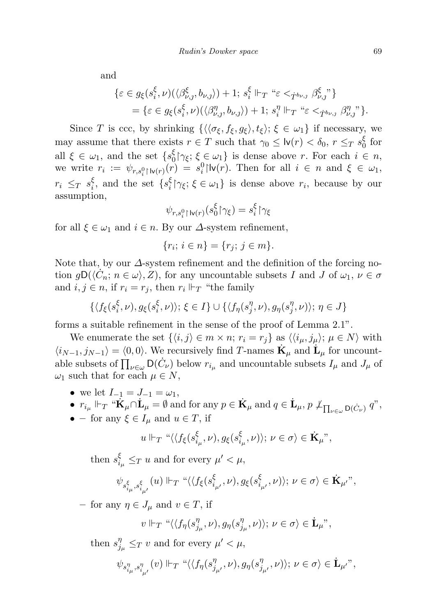and

$$
\{\varepsilon \in g_{\xi}(s_i^{\xi}, \nu) (\langle \beta_{\nu,j}^{\xi}, b_{\nu,j} \rangle) + 1; s_i^{\xi} \Vdash_{T} \text{``}\varepsilon <_{\dot{T}^{b_{\nu,j}}} \beta_{\nu,j}^{\xi} \text{''}\}
$$
  
=\{\varepsilon \in g\_{\xi}(s\_i^{\xi}, \nu) (\langle \beta\_{\nu,j}^{\eta}, b\_{\nu,j} \rangle) + 1; s\_i^{\eta} \Vdash\_{T} \text{``}\varepsilon <\_{\dot{T}^{b\_{\nu,j}}} \beta\_{\nu,j}^{\eta} \text{''}\}.

Since T is ccc, by shrinking  $\{\langle \langle \sigma_{\xi}, f_{\xi}, g_{\xi} \rangle, t_{\xi} \rangle; \xi \in \omega_1\}$  if necessary, we may assume that there exists  $r \in T$  such that  $\gamma_0 \leq \mathsf{lv}(r) < \delta_0, r \leq_T s_0^{\xi}$  $\frac{5}{0}$  for all  $\xi \in \omega_1$ , and the set  $\{s_0^{\xi}$  $\{\zeta \mid \gamma_{\xi}; \xi \in \omega_1\}$  is dense above r. For each  $i \in n$ , we write  $r_i := \psi_{r,s_i^0 \upharpoonright \mathsf{lv}(r)}(r) = s_i^0 \upharpoonright \mathsf{lv}(r)$ . Then for all  $i \in n$  and  $\xi \in \omega_1$ ,  $r_i \, \leq_T \, s_i^{\xi}$  $\xi$ , and the set  $\{s_i^{\xi}$  $\{\xi \mid \gamma_{\xi}; \xi \in \omega_1\}$  is dense above  $r_i$ , because by our assumption,

$$
\psi_{r,s_i^0\restriction \mathsf{lv}(r)}(s_0^\xi{\upharpoonright}\gamma_\xi)=s_i^\xi{\upharpoonright}\gamma_\xi
$$

for all  $\xi \in \omega_1$  and  $i \in n$ . By our  $\Delta$ -system refinement,

$$
\{r_i; \, i \in n\} = \{r_j; \, j \in m\}.
$$

Note that, by our  $\Delta$ -system refinement and the definition of the forcing notion  $g\mathsf{D}(\langle C_n; n \in \omega \rangle, Z)$ , for any uncountable subsets I and J of  $\omega_1, \nu \in \sigma$ and  $i, j \in n$ , if  $r_i = r_j$ , then  $r_i \Vdash_T$  "the family

$$
\{ \langle f_{\xi}(s_i^{\xi}, \nu), g_{\xi}(s_i^{\xi}, \nu) \rangle; \, \xi \in I \} \cup \{ \langle f_{\eta}(s_j^{\eta}, \nu), g_{\eta}(s_j^{\eta}, \nu) \rangle; \, \eta \in J \}
$$

forms a suitable refinement in the sense of the proof of Lemma 2.1".

We enumerate the set  $\{\langle i, j \rangle \in m \times n; r_i = r_j\}$  as  $\langle \langle i_\mu, j_\mu \rangle; \mu \in N \rangle$  with  $\langle i_{N-1}, j_{N-1} \rangle = \langle 0, 0 \rangle$ . We recursively find T-names  $\dot{\mathbf{K}}_{\mu}$  and  $\dot{\mathbf{L}}_{\mu}$  for uncountable subsets of  $\prod_{\nu \in \omega} D(\dot{C}_{\nu})$  below  $r_{i_{\mu}}$  and uncountable subsets  $I_{\mu}$  and  $J_{\mu}$  of  $\omega_1$  such that for each  $\mu \in N$ ,

- we let  $I_{-1} = J_{-1} = \omega_1$ ,
- $r_{i_{\mu}} \Vdash_{T} \text{``}\dot{\mathbf{K}}_{\mu} \cap \dot{\mathbf{L}}_{\mu} = \emptyset$  and for any  $p \in \dot{\mathbf{K}}_{\mu}$  and  $q \in \dot{\mathbf{L}}_{\mu}, p \not\perp_{\prod_{\nu \in \omega} \mathsf{D}(\dot{C}_{\nu})} q^{\nu}$ ,
- – for any  $\xi \in I_\mu$  and  $u \in T$ , if

$$
u \Vdash_T \text{``}\langle \langle f_{\xi}(s_{i_{\mu}}^{\xi},\nu), g_{\xi}(s_{i_{\mu}}^{\xi},\nu) \rangle; \nu \in \sigma \rangle \in \mathbf{K}_{\mu}\text{''},
$$

then  $s_i^{\xi}$  $\frac{\xi}{i_{\mu}} \leq_T u$  and for every  $\mu' < \mu$ ,

$$
\psi_{s_{i_\mu}^\xi,s_{i_{\mu'}}^\xi}(u)\Vdash_T \text{``}\langle\langle f_\xi(s_{i_{\mu'}}^\xi,\nu),g_\xi(s_{i_{\mu'}}^\xi,\nu)\rangle;\,\nu\in\sigma\rangle\in\mathbf{K}_{\mu'}\text{''},
$$

– for any  $\eta \in J_\mu$  and  $v \in T$ , if

$$
v \Vdash_T \text{``}\langle \langle f_\eta(s^\eta_{j_\mu}, \nu), g_\eta(s^\eta_{j_\mu}, \nu) \rangle; \nu \in \sigma \rangle \in \dot{\mathbf{L}}_\mu\text{''},
$$

then  $s_i^{\eta}$  $\frac{\eta}{j_{\mu}} \leq_T v$  and for every  $\mu' < \mu$ ,

$$
\psi_{s_{i_{\mu}}^{\eta},s_{i_{\mu'}}^{\eta}}(v) \Vdash_{T} \text{``}\langle\langle f_{\eta}(s_{j_{\mu'}}^{\eta},\nu),g_{\eta}(s_{j_{\mu'}}^{\eta},\nu)\rangle; \nu \in \sigma\rangle \in \mathring{\mathbf{L}}_{\mu'}\text{''},
$$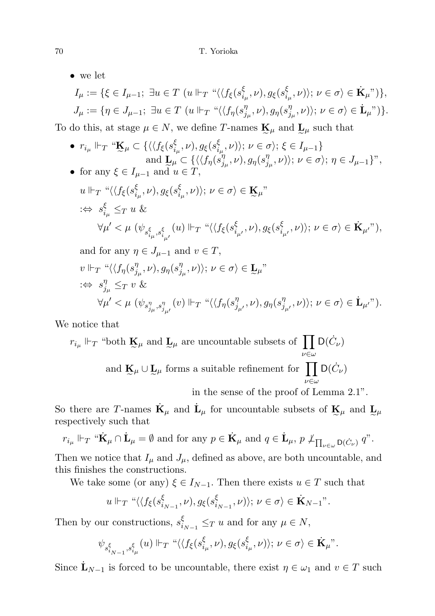• we let

$$
I_{\mu} := \{ \xi \in I_{\mu-1}; \ \exists u \in T \ (u \Vdash_{T} \text{``}\langle \langle f_{\xi}(s_{i_{\mu}}^{\xi}, \nu), g_{\xi}(s_{i_{\mu}}^{\xi}, \nu) \rangle; \ \nu \in \sigma \rangle \in \dot{\mathbf{K}}_{\mu} \text{''}) \},
$$
  

$$
J_{\mu} := \{ \eta \in J_{\mu-1}; \ \exists u \in T \ (u \Vdash_{T} \text{``}\langle \langle f_{\eta}(s_{j_{\mu}}^{\eta}, \nu), g_{\eta}(s_{j_{\mu}}^{\eta}, \nu) \rangle; \ \nu \in \sigma \rangle \in \dot{\mathbf{L}}_{\mu} \text{''}) \}.
$$

To do this, at stage  $\mu \in N$ , we define T-names  $\underline{\mathbf{K}}_{\mu}$  and  $\underline{\mathbf{L}}_{\mu}$  such that

\n- \n
$$
r_{i\mu} \Vdash_{T} \text{``}\mathbf{K}_{\mu} \subset \{\langle\langle f_{\xi}(s_{i_{\mu}}^{\xi},\nu), g_{\xi}(s_{i_{\mu}}^{\xi},\nu)\rangle; \nu \in \sigma\rangle; \xi \in I_{\mu-1}\}
$$
\n and  $\mathbf{L}_{\mu} \subset \{\langle\langle f_{\eta}(s_{j_{\mu}}^{\eta},\nu), g_{\eta}(s_{j_{\mu}}^{\eta},\nu)\rangle; \nu \in \sigma\rangle; \eta \in J_{\mu-1}\}$ \n
\n- \n for any  $\xi \in I_{\mu-1}$  and  $u \in T$ ,\n  $u \Vdash_{T} \text{``}\langle\langle f_{\xi}(s_{i_{\mu}}^{\xi},\nu), g_{\xi}(s_{i_{\mu}}^{\xi},\nu)\rangle; \nu \in \sigma\rangle \in \mathbf{K}_{\mu}$ \n $\Leftrightarrow s_{i_{\mu}}^{\xi} \leq_T u \, \& \forall \mu' < \mu \, (\psi_{s_{i_{\mu}}^{\xi},s_{i_{\mu'}}^{\xi}(u) \Vdash_{T} \text{``}\langle\langle f_{\xi}(s_{i_{\mu'}}^{\xi},\nu), g_{\xi}(s_{i_{\mu'}}^{\xi},\nu)\rangle; \nu \in \sigma\rangle \in \mathbf{K}_{\mu}$ \n "),\n and for any  $\eta \in J_{\mu-1}$  and  $v \in T$ ,\n  $v \Vdash_{T} \text{``}\langle\langle f_{\eta}(s_{j_{\mu}}^{\eta},\nu), g_{\eta}(s_{j_{\mu}}^{\eta},\nu)\rangle; \nu \in \sigma\rangle \in \mathbf{L}_{\mu}$ \n $\Leftrightarrow s_{j_{\mu}}^{\eta} \leq_T v \, \& \forall \mu' < \mu \, (\psi_{s_{j_{\mu}}^{\eta},s_{j_{\mu'}}^{\eta}(v) \Vdash_{T} \text{``}\langle\langle f_{\eta}(s_{j_{\mu}}^{\eta},\nu), g_{\eta}(s_{j_{\mu'}}^{\eta},\nu)\rangle; \nu \in \sigma\rangle \in \mathbf{L}_{\mu}$ \n
\n

We notice that

 $r_{i_{\mu}} \Vdash_{T}$  "both  $\underline{\mathbf{K}}_{\mu}$  and  $\underline{\mathbf{L}}_{\mu}$  are uncountable subsets of  $\prod$ ν∈ω  $\mathsf{D}(\dot{C}_{\nu})$ and  $\underline{\mathbf{K}}_{\mu} \cup \underline{\mathbf{L}}_{\mu}$  forms a suitable refinement for  $\prod \mathsf{D}(\dot{C}_{\nu})$ ν∈ω in the sense of the proof of Lemma 2.1".

So there are T-names  $\dot{\mathbf{K}}_{\mu}$  and  $\dot{\mathbf{L}}_{\mu}$  for uncountable subsets of  $\mathbf{K}_{\mu}$  and  $\mathbf{L}_{\mu}$ respectively such that

$$
r_{i_{\mu}} \Vdash_{T} \text{``}\dot{\mathbf{K}}_{\mu} \cap \dot{\mathbf{L}}_{\mu} = \emptyset \text{ and for any } p \in \dot{\mathbf{K}}_{\mu} \text{ and } q \in \dot{\mathbf{L}}_{\mu}, p \nperp_{\prod_{\nu \in \omega} \mathsf{D}(\dot{C}_{\nu})} q^{\nu}.
$$

Then we notice that  $I_{\mu}$  and  $J_{\mu}$ , defined as above, are both uncountable, and this finishes the constructions.

We take some (or any)  $\xi \in I_{N-1}$ . Then there exists  $u \in T$  such that

$$
u \Vdash_T \text{``}\langle \langle f_{\xi}(s_{i_{N-1}}^{\xi},\nu), g_{\xi}(s_{i_{N-1}}^{\xi},\nu) \rangle; \nu \in \sigma \rangle \in \mathbf{K}_{N-1}".
$$

Then by our constructions,  $s_i^{\xi}$  $\zeta_{i_{N-1}} \leq_T u$  and for any  $\mu \in N$ ,

$$
\psi_{s_{i_{N-1}}^{\xi},s_{i_{\mu}}^{\xi}}(u) \Vdash_{T} \text{``}\langle\langle f_{\xi}(s_{i_{\mu}}^{\xi},\nu),g_{\xi}(s_{i_{\mu}}^{\xi},\nu)\rangle; \nu \in \sigma\rangle \in \mathbf{K}_{\mu}^{''}.
$$

Since  $\dot{\mathbf{L}}_{N-1}$  is forced to be uncountable, there exist  $\eta \in \omega_1$  and  $v \in T$  such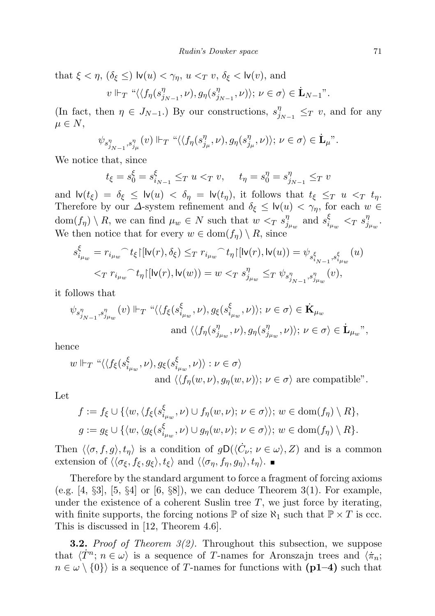that  $\xi < \eta$ ,  $(\delta_{\xi} \leq)$  lv $(u) < \gamma_{\eta}$ ,  $u <_{T} v$ ,  $\delta_{\xi} <$  lv $(v)$ , and

$$
v \Vdash_T \text{``}\langle\langle f_\eta(s^\eta_{j_{N-1}}, \nu), g_\eta(s^\eta_{j_{N-1}}, \nu)\rangle; \nu \in \sigma\rangle \in \mathbf{\dot{L}}_{N-1}^{\mathbf{\dot{m}}}. \text{''}
$$

(In fact, then  $\eta \in J_{N-1}$ .) By our constructions,  $s_j^{\eta}$  $_{j_{N-1}}^{\eta} \leq_T v$ , and for any  $\mu \in N$ ,

$$
\psi_{s_{j_{N-1}}^{\eta},s_{j_{\mu}}^{\eta}}(v) \Vdash_{T} \text{``}\langle\langle f_{\eta}(s_{j_{\mu}}^{\eta},\nu),g_{\eta}(s_{j_{\mu}}^{\eta},\nu)\rangle; \nu \in \sigma\rangle \in \mathbf{L}_{\mu}^{''}.
$$

We notice that, since

$$
t_{\xi} = s_0^{\xi} = s_{i_{N-1}}^{\xi} \leq_T u \leq_T v, \quad t_{\eta} = s_0^{\eta} = s_{j_{N-1}}^{\eta} \leq_T v
$$

and  $\mathsf{lv}(t_{\xi}) = \delta_{\xi} \leq \mathsf{lv}(u) < \delta_{\eta} = \mathsf{lv}(t_{\eta})$ , it follows that  $t_{\xi} \leq_T u <_T t_{\eta}$ . Therefore by our  $\Delta$ -system refinement and  $\delta_{\xi} \leq \mathsf{lv}(u) < \gamma_{\eta}$ , for each  $w \in$  $dom(f_{\eta}) \setminus R$ , we can find  $\mu_w \in N$  such that  $w <_T s_{\eta}^{\eta}$  $j_{\mu w}^{\eta}$  and  $s_i^{\xi}$  $\frac{\xi}{i_{\mu w}} <_T s_j^{\eta}$  $\frac{\eta}{j_{\mu_w}}.$ We then notice that for every  $w \in \text{dom}(f_{\eta}) \setminus R$ , since

$$
s_{i_{\mu_w}}^{\xi} = r_{i_{\mu_w}}^{\frown} t_{\xi} \left[ \left[ \mathbf{I} \mathbf{v}(r), \delta_{\xi} \right] \leq_{T} r_{i_{\mu_w}}^{\frown} t_{\eta} \left[ \left[ \mathbf{I} \mathbf{v}(r), \mathbf{I} \mathbf{v}(u) \right] \right] = \psi_{s_{i_{N-1}}^{\xi}, s_{i_{\mu_w}}^{\xi}}(u)
$$

$$
\langle T r_{i_{\mu_w}}^{\frown} t_{\eta} \left[ \left[ \mathbf{I} \mathbf{v}(r), \mathbf{I} \mathbf{v}(w) \right] \right] = w \langle T s_{j_{\mu_w}}^{\eta} \leq_{T} \psi_{s_{j_{N-1}}^{\eta}, s_{j_{\mu_w}}^{\eta}}(v),
$$

it follows that

$$
\psi_{s_{j_{N-1}}^{\eta},s_{j_{\mu_w}}^{\eta}}(v) \Vdash_{T} \text{``}\langle\langle f_{\xi}(s_{i_{\mu_w}}^{\xi},\nu),g_{\xi}(s_{i_{\mu_w}}^{\xi},\nu)\rangle;\,\nu \in \sigma\rangle \in \dot{\mathbf{K}}_{\mu_w}
$$
\n
$$
\text{and }\langle\langle f_{\eta}(s_{j_{\mu_w}}^{\eta},\nu),g_{\eta}(s_{j_{\mu_w}}^{\eta},\nu)\rangle;\,\nu \in \sigma\rangle \in \dot{\mathbf{L}}_{\mu_w}"
$$

hence

$$
w \Vdash_T \text{``}\langle\langle f_{\xi}(s_{i_{\mu_w}}^{\xi}, \nu), g_{\xi}(s_{i_{\mu_w}}^{\xi}, \nu)\rangle : \nu \in \sigma\rangle
$$
  
and  $\langle\langle f_{\eta}(w, \nu), g_{\eta}(w, \nu)\rangle; \nu \in \sigma\rangle$  are compatible".

Let

$$
f := f_{\xi} \cup \{ \langle w, \langle f_{\xi}(s_{i_{\mu_w}}^{\xi}, \nu) \cup f_{\eta}(w, \nu); \nu \in \sigma \rangle \}; w \in \text{dom}(f_{\eta}) \setminus R \},
$$
  

$$
g := g_{\xi} \cup \{ \langle w, \langle g_{\xi}(s_{i_{\mu_w}}^{\xi}, \nu) \cup g_{\eta}(w, \nu); \nu \in \sigma \rangle \}; w \in \text{dom}(f_{\eta}) \setminus R \}.
$$

Then  $\langle\langle \sigma, f, g\rangle, t_{\eta}\rangle$  is a condition of  $g\mathsf{D}(\langle \dot{C}_{\nu}; \nu \in \omega \rangle, Z)$  and is a common extension of  $\langle\langle \sigma_{\xi}, f_{\xi}, g_{\xi}\rangle, t_{\xi}\rangle$  and  $\langle\langle \sigma_{\eta}, f_{\eta}, g_{\eta}\rangle, t_{\eta}\rangle$ .

Therefore by the standard argument to force a fragment of forcing axioms (e.g.  $[4, \S3]$ ,  $[5, \S4]$  or  $[6, \S8]$ ), we can deduce Theorem  $3(1)$ . For example, under the existence of a coherent Suslin tree  $T$ , we just force by iterating, with finite supports, the forcing notions  $\mathbb P$  of size  $\aleph_1$  such that  $\mathbb P \times T$  is ccc. This is discussed in [12, Theorem 4.6].

**3.2.** Proof of Theorem  $3(2)$ . Throughout this subsection, we suppose that  $\langle T^n; n \in \omega \rangle$  is a sequence of T-names for Aronszajn trees and  $\langle \pi_n;$  $n \in \omega \setminus \{0\}$  is a sequence of T-names for functions with  $(p1-4)$  such that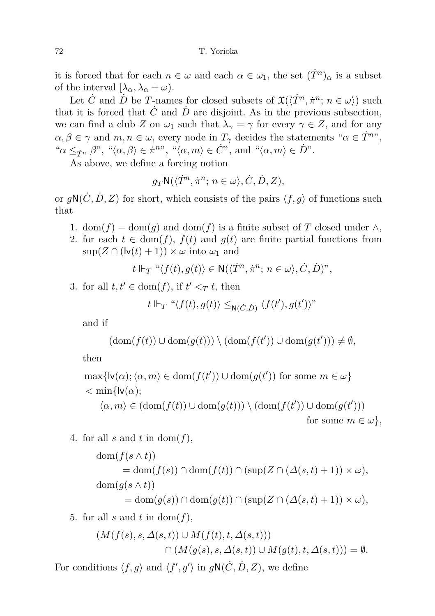it is forced that for each  $n \in \omega$  and each  $\alpha \in \omega_1$ , the set  $(T^n)_{\alpha}$  is a subset of the interval  $[\lambda_{\alpha}, \lambda_{\alpha} + \omega]$ .

Let  $\dot{C}$  and  $\dot{D}$  be T-names for closed subsets of  $\mathfrak{X}(\langle \dot{T}^n, \dot{\pi}^n; n \in \omega \rangle)$  such that it is forced that  $\dot{C}$  and  $\dot{D}$  are disjoint. As in the previous subsection, we can find a club Z on  $\omega_1$  such that  $\lambda_{\gamma} = \gamma$  for every  $\gamma \in Z$ , and for any  $\alpha, \beta \in \gamma$  and  $m, n \in \omega$ , every node in  $T_{\gamma}$  decides the statements " $\alpha \in \dot{T}^{n}$ ", " $\alpha \leq_{\dot{T}^n} \beta$ ", " $\langle \alpha, \beta \rangle \in \dot{\pi}^{n}$ ", " $\langle \alpha, m \rangle \in \dot{C}$ ", and " $\langle \alpha, m \rangle \in \dot{D}$ ".

As above, we define a forcing notion

$$
g_T \mathsf{N}(\langle \dot{T}^n, \dot{\pi}^n; n \in \omega \rangle, \dot{C}, \dot{D}, Z),
$$

or  $qN(\dot{C}, \dot{D}, Z)$  for short, which consists of the pairs  $\langle f, g \rangle$  of functions such that

- 1.  $dom(f) = dom(g)$  and  $dom(f)$  is a finite subset of T closed under  $\wedge$ ,
- 2. for each  $t \in \text{dom}(f)$ ,  $f(t)$  and  $g(t)$  are finite partial functions from  $\sup(Z \cap (l\mathsf{v}(t) + 1)) \times \omega$  into  $\omega_1$  and

 $t \Vdash_T$  " $\langle f(t), g(t) \rangle \in \mathsf{N}(\langle \dot{T}^n, \dot{\pi}^n; n \in \omega \rangle, \dot{C}, \dot{D})$ ",

3. for all  $t, t' \in \text{dom}(f)$ , if  $t' <_T t$ , then

$$
t \Vdash_{T} \text{``}\langle f(t), g(t) \rangle \leq_{\mathsf{N}(\dot{C}, \dot{D})} \langle f(t'), g(t') \rangle"
$$

and if

$$
(\text{dom}(f(t)) \cup \text{dom}(g(t))) \setminus (\text{dom}(f(t')) \cup \text{dom}(g(t'))) \neq \emptyset,
$$

then

$$
\max\{ \mathsf{lv}(\alpha); \langle \alpha, m \rangle \in \text{dom}(f(t')) \cup \text{dom}(g(t')) \text{ for some } m \in \omega \}
$$
  

$$
< \min\{ \mathsf{lv}(\alpha);
$$
  

$$
\langle \alpha, m \rangle \in (\text{dom}(f(t)) \cup \text{dom}(g(t))) \setminus (\text{dom}(f(t')) \cup \text{dom}(g(t')))
$$

for some  $m \in \omega$ ,

4. for all s and t in dom( $f$ ),

dom $(f(s \wedge t))$  $=\text{dom}(f(s)) \cap \text{dom}(f(t)) \cap (\text{sup}(Z \cap (\Delta(s,t) + 1)) \times \omega),$ dom $(g(s \wedge t))$  $=\text{dom}(g(s)) \cap \text{dom}(g(t)) \cap (\text{sup}(Z \cap (\Delta(s,t) + 1)) \times \omega),$ 

5. for all s and t in dom( $f$ ),

$$
(M(f(s), s, \Delta(s,t)) \cup M(f(t), t, \Delta(s,t)))
$$
  

$$
\cap (M(g(s), s, \Delta(s,t)) \cup M(g(t), t, \Delta(s,t))) = \emptyset.
$$

For conditions  $\langle f, g \rangle$  and  $\langle f', g' \rangle$  in  $gN(\dot{C}, \dot{D}, Z)$ , we define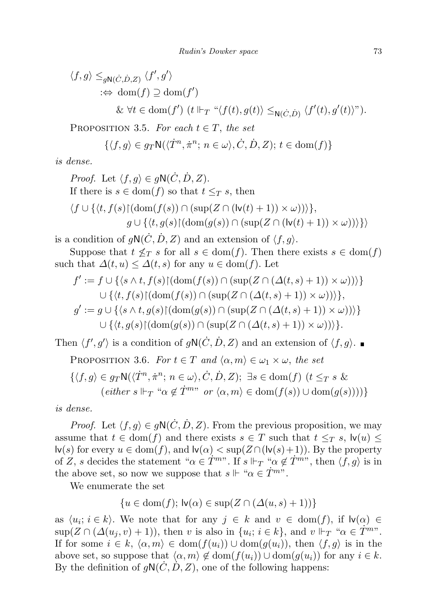$$
\langle f, g \rangle \leq_{gN(\dot{C}, \dot{D}, Z)} \langle f', g' \rangle
$$
  

$$
\Rightarrow \text{dom}(f) \supseteq \text{dom}(f')
$$
  

$$
\& \forall t \in \text{dom}(f') \ (t \Vdash_{T} \text{``}\langle f(t), g(t) \rangle \leq_{\text{N}(\dot{C}, \dot{D})} \langle f'(t), g'(t) \rangle \text{''}).
$$

PROPOSITION 3.5. For each  $t \in T$ , the set

$$
\{\langle f,g\rangle\in g_T\mathrm{N}(\langle \dot{T}^n,\dot{\pi}^n;\,n\in\omega\rangle,\dot{C},\dot{D},Z);\,t\in\mathrm{dom}(f)\}
$$

is dense.

*Proof.* Let 
$$
\langle f, g \rangle \in g\mathbb{N}(\dot{C}, \dot{D}, Z)
$$
.  
If there is  $s \in \text{dom}(f)$  so that  $t \leq_T s$ , then  
 $\langle f \cup \{ \langle t, f(s) \rangle \}(\text{dom}(f(s)) \cap (\sup(Z \cap (\mathsf{lv}(t) + 1)) \times \omega)) \rangle \},$   
 $g \cup \{ \langle t, g(s) \rangle \}(\text{dom}(g(s)) \cap (\sup(Z \cap (\mathsf{lv}(t) + 1)) \times \omega)) \rangle \} \rangle$ 

is a condition of  $qN(\dot{C}, \dot{D}, Z)$  and an extension of  $\langle f, q \rangle$ .

Suppose that  $t \nleq_T s$  for all  $s \in \text{dom}(f)$ . Then there exists  $s \in \text{dom}(f)$ such that  $\Delta(t, u) \leq \Delta(t, s)$  for any  $u \in \text{dom}(f)$ . Let

$$
f' := f \cup \{ \langle s \wedge t, f(s) \rangle \langle \text{dom}(f(s)) \cap (\sup(Z \cap (\Delta(t, s) + 1)) \times \omega) \rangle \} \cup \{ \langle t, f(s) \rangle \langle \text{dom}(f(s)) \cap (\sup(Z \cap (\Delta(t, s) + 1)) \times \omega) \rangle \} \},
$$
  

$$
g' := g \cup \{ \langle s \wedge t, g(s) \rangle \langle \text{dom}(g(s)) \cap (\sup(Z \cap (\Delta(t, s) + 1)) \times \omega) \rangle \} \} \cup \{ \langle t, g(s) \rangle \langle \text{dom}(g(s)) \cap (\sup(Z \cap (\Delta(t, s) + 1)) \times \omega) \rangle \} \}.
$$

Then  $\langle f', g' \rangle$  is a condition of  $gN(\dot{C}, \dot{D}, Z)$  and an extension of  $\langle f, g \rangle$ .

PROPOSITION 3.6. For  $t \in T$  and  $\langle \alpha, m \rangle \in \omega_1 \times \omega$ , the set

$$
\{\langle f,g \rangle \in g_T \mathsf{N}(\langle \dot{T}^n, \dot{\pi}^n; n \in \omega \rangle, \dot{C}, \dot{D}, Z); \exists s \in \text{dom}(f) \ (t \leq_T s \ \& \text{(either } s \Vdash_T \text{``}\alpha \notin \dot{T}^{m} \text{''} \text{ or } \langle \alpha, m \rangle \in \text{dom}(f(s)) \cup \text{dom}(g(s)))\}\
$$

is dense.

*Proof.* Let  $\langle f, g \rangle \in gN(C, D, Z)$ . From the previous proposition, we may assume that  $t \in \text{dom}(f)$  and there exists  $s \in T$  such that  $t \leq_T s$ ,  $\text{lv}(u) \leq$  $\mathsf{lv}(s)$  for every  $u \in \text{dom}(f)$ , and  $\mathsf{lv}(\alpha) < \text{sup}(Z \cap (\mathsf{lv}(s) + 1))$ . By the property of Z, s decides the statement " $\alpha \in T^{m}$ ". If  $s \Vdash_T$  " $\alpha \notin T^{m}$ ", then  $\langle f, g \rangle$  is in the above set, so now we suppose that  $s \Vdash " \alpha \in \dot{T}^{m \dot{m}}$ .

We enumerate the set

$$
\{u \in \text{dom}(f); \, \text{lv}(\alpha) \in \text{sup}(Z \cap (\Delta(u, s) + 1))\}
$$

as  $\langle u_i; i \in k \rangle$ . We note that for any  $j \in k$  and  $v \in \text{dom}(f)$ , if  $\mathsf{lv}(\alpha) \in$  $\sup(Z \cap (\Delta(u_j, v) + 1)),$  then v is also in  $\{u_i : i \in k\}$ , and  $v \Vdash_T " \alpha \in T^{m}$ ". If for some  $i \in k$ ,  $\langle \alpha, m \rangle \in \text{dom}(f(u_i)) \cup \text{dom}(g(u_i))$ , then  $\langle f, g \rangle$  is in the above set, so suppose that  $\langle \alpha, m \rangle \notin \text{dom}(f(u_i)) \cup \text{dom}(g(u_i))$  for any  $i \in k$ . By the definition of  $gN(C, D, Z)$ , one of the following happens: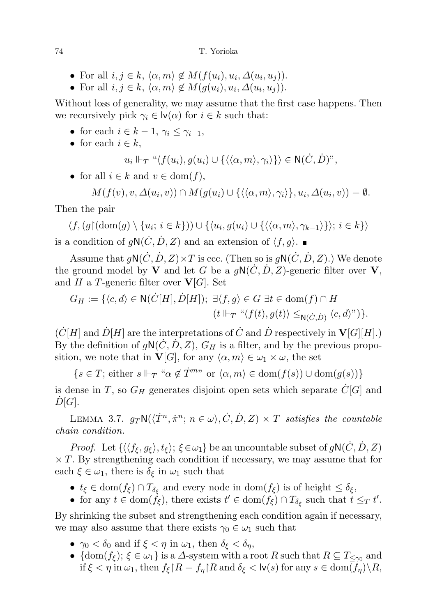74 T. Yorioka

- For all  $i, j \in k, \langle \alpha, m \rangle \notin M(f(u_i), u_i, \Delta(u_i, u_j)).$
- For all  $i, j \in k, \langle \alpha, m \rangle \notin M(g(u_i), u_i, \Delta(u_i, u_j)).$

Without loss of generality, we may assume that the first case happens. Then we recursively pick  $\gamma_i \in \mathsf{lv}(\alpha)$  for  $i \in k$  such that:

- for each  $i \in k-1$ ,  $\gamma_i \leq \gamma_{i+1}$ ,
- for each  $i \in k$ ,

$$
u_i \Vdash_T ``\langle f(u_i), g(u_i) \cup \{\langle\langle \alpha, m \rangle, \gamma_i \rangle\} \rangle \in \mathsf{N}(\dot{C}, \dot{D})"
$$

• for all  $i \in k$  and  $v \in \text{dom}(f)$ ,

$$
M(f(v), v, \Delta(u_i, v)) \cap M(g(u_i) \cup \{\langle\langle \alpha, m \rangle, \gamma_i \rangle\}, u_i, \Delta(u_i, v)) = \emptyset.
$$

Then the pair

$$
\langle f, (g{\upharpoonright}(\text{dom}(g) \setminus \{u_i; i \in k\}) ) \cup \{ \langle u_i, g(u_i) \cup \{ \langle \langle \alpha, m \rangle, \gamma_{k-1} \rangle \} \rangle; i \in k \} \rangle
$$
 is a condition of  $g\mathsf{N}(\dot{C}, \dot{D}, Z)$  and an extension of  $\langle f, g \rangle$ .

Assume that  $gN(\dot{C}, \dot{D}, Z) \times T$  is ccc. (Then so is  $gN(\dot{C}, \dot{D}, Z)$ .) We denote the ground model by **V** and let G be a  $gN(\tilde{C}, \tilde{D}, Z)$ -generic filter over **V**, and H a T-generic filter over  $\mathbf{V}[G]$ . Set

$$
G_H := \{ \langle c, d \rangle \in \mathsf{N}(\dot{C}[H], \dot{D}[H]); \ \exists \langle f, g \rangle \in G \ \exists t \in \text{dom}(f) \cap H \ (t \Vdash_T \text{``}\langle f(t), g(t) \rangle \leq_{\mathsf{N}(\dot{C}, \dot{D})} \langle c, d \rangle \text{''}) \}.
$$

 $(\dot{C}[H] \text{ and } \dot{D}[H] \text{ are the interpretations of } \dot{C} \text{ and } \dot{D} \text{ respectively in } \mathbf{V}[G][H].)$ By the definition of  $gN(\dot{C}, \dot{D}, Z)$ ,  $G_H$  is a filter, and by the previous proposition, we note that in  $\mathbf{V}[G]$ , for any  $\langle \alpha, m \rangle \in \omega_1 \times \omega$ , the set

 $\{s \in T : \text{either } s \Vdash_T \text{``$\alpha \notin \dot{T}^{m}}" \text{ or } \langle \alpha, m \rangle \in \text{dom}(f(s)) \cup \text{dom}(g(s))\}\$ 

is dense in T, so  $G_H$  generates disjoint open sets which separate  $\dot{C}[G]$  and  $\dot{D}[G].$ 

LEMMA 3.7.  $g_T \mathsf{N}(\langle \dot{T}^n, \dot{\pi}^n; n \in \omega \rangle, \dot{C}, \dot{D}, Z) \times T$  satisfies the countable chain condition.

*Proof.* Let  $\{\langle f_{\xi}, g_{\xi}\rangle, t_{\xi}\rangle; \xi \in \omega_1\}$  be an uncountable subset of  $gN(\dot{C}, \dot{D}, Z)$  $\times T$ . By strengthening each condition if necessary, we may assume that for each  $\xi \in \omega_1$ , there is  $\delta_{\xi}$  in  $\omega_1$  such that

- $t_{\xi} \in \text{dom}(f_{\xi}) \cap T_{\delta_{\xi}}$  and every node in  $\text{dom}(f_{\xi})$  is of height  $\leq \delta_{\xi}$ ,
- for any  $t \in \text{dom}(\tilde{f}_{\xi})$ , there exists  $t' \in \text{dom}(f_{\xi}) \cap T_{\delta_{\xi}}$  such that  $t \leq T$  t'.

By shrinking the subset and strengthening each condition again if necessary, we may also assume that there exists  $\gamma_0 \in \omega_1$  such that

- $\gamma_0 < \delta_0$  and if  $\xi < \eta$  in  $\omega_1$ , then  $\delta_{\xi} < \delta_{\eta}$ ,
- ${\text{dom}(f_{\xi})}$ ;  $\xi \in \omega_1$  is a  $\Delta$ -system with a root R such that  $R \subseteq T_{\leq \gamma_0}$  and if  $\xi < \eta$  in  $\omega_1$ , then  $f_{\xi}$  |  $R = f_{\eta}$ |  $R$  and  $\delta_{\xi} <$  |  $v(s)$  for any  $s \in \text{dom}(f_{\eta}) \setminus R$ ,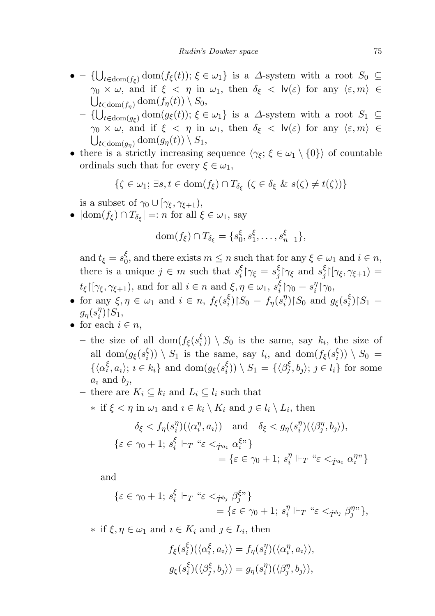- $\bullet$  { $\bigcup_{t \in \text{dom}(f_{\xi})} \text{dom}(f_{\xi}(t)); \xi \in \omega_1$ } is a  $\Delta$ -system with a root  $S_0 \subseteq$  $\gamma_0 \times \omega$ , and if  $\xi \leq \eta$  in  $\omega_1$ , then  $\delta_{\xi} \leq \nu(\varepsilon)$  for any  $\langle \varepsilon, m \rangle \in$  $\bigcup_{t \in \text{dom}(f_{\eta})} \text{dom}(f_{\eta}(t)) \setminus S_0,$ 
	- $\{\bigcup_{t \in \text{dom}(g_{\xi})} \text{dom}(g_{\xi}(t)); \xi \in \omega_1\}$  is a  $\Delta$ -system with a root  $S_1 \subseteq$  $\gamma_0 \times \omega$ , and if  $\xi \leq \eta$  in  $\omega_1$ , then  $\delta_{\xi} \leq \mathsf{lv}(\varepsilon)$  for any  $\langle \varepsilon, m \rangle \in$  $\bigcup_{t \in \text{dom}(g_{\eta})} \text{dom}(g_{\eta}(t)) \setminus S_1,$
- there is a strictly increasing sequence  $\langle \gamma_{\xi}; \xi \in \omega_1 \setminus \{0\} \rangle$  of countable ordinals such that for every  $\xi \in \omega_1$ ,

$$
\{\zeta \in \omega_1; \ \exists s, t \in \text{dom}(f_{\xi}) \cap T_{\delta_{\xi}} \ (\zeta \in \delta_{\xi} \ \& \ s(\zeta) \neq t(\zeta))\}
$$

is a subset of  $\gamma_0 \cup [\gamma_{\xi}, \gamma_{\xi+1}),$ 

•  $|\text{dom}(f_{\xi}) \cap T_{\delta_{\xi}}| =: n \text{ for all } \xi \in \omega_1, \text{ say}$ 

$$
\text{dom}(f_{\xi}) \cap T_{\delta_{\xi}} = \{s_0^{\xi}, s_1^{\xi}, \dots, s_{n-1}^{\xi}\},
$$

and  $t_{\xi} = s_0^{\xi}$  $\zeta$ , and there exists  $m \leq n$  such that for any  $\xi \in \omega_1$  and  $i \in n$ , there is a unique  $j \in m$  such that  $s_i^{\xi}$  $s_j^\xi{\restriction}\gamma_\xi\,=\,s_j^\xi$ ξ $\big\uparrow \gamma_{\xi}$  and  $s_j^{\xi}$  $\int\limits_j^\xi \lceil \gamma_\xi,\gamma_{\xi+1})\rceil =$  $t_{\xi}$  |  $[\gamma_{\xi}, \gamma_{\xi+1})$ , and for all  $i \in n$  and  $\xi, \eta \in \omega_1$ ,  $s_i^{\xi}$  $\int_{i}^{\xi}$  |  $\gamma_0 = s_i^{\eta}$  $i^{\eta}$  |  $\gamma_0$ ,

- for any  $\xi, \eta \in \omega_1$  and  $i \in n$ ,  $f_{\xi}(s_i^{\xi})$  $\binom{\xi}{i}$ |S<sub>0</sub> =  $f_{\eta}(s_i^{\eta})$  $\binom{\eta}{i}$  |  $S_0$  and  $g_{\xi}(s_i^{\xi})$  $S_i^{\xi}$ )| $S_1$  =  $g_{\eta}(s_i^{\eta})$  $_{i}^{\eta})$ | $S_{1}$ ,
- for each  $i \in n$ ,
	- the size of all dom $(f_{\xi}(s_i^{\xi}))$  $\binom{5}{i}$   $\setminus$   $S_0$  is the same, say  $k_i$ , the size of all dom $(g_{\xi}(s_i^{\xi}))$  $(\xi_i)$ ) \ S<sub>1</sub> is the same, say  $l_i$ , and dom $(f_{\xi}(s_i^{\xi_i}))$  $S_i^{\varsigma})$ )  $\langle S_0 =$  $\{\langle \alpha_i^{\xi}, a_i \rangle; i \in k_i\}$  and dom $(g_{\xi}(s_i^{\xi}))$  $\binom{\xi}{i}$ ) \  $S_1 = \{ \langle \beta_j^{\xi}, b_j \rangle; j \in l_i \}$  for some  $a_i$  and  $b_j$ ,
	- there are  $K_i \subseteq k_i$  and  $L_i \subseteq l_i$  such that

\* if 
$$
\xi < \eta
$$
 in  $\omega_1$  and  $i \in k_i \setminus K_i$  and  $j \in l_i \setminus L_i$ , then

$$
\delta_{\xi} < f_{\eta}(s_i^{\eta})(\langle \alpha_i^{\eta}, a_i \rangle) \quad \text{and} \quad \delta_{\xi} < g_{\eta}(s_i^{\eta})(\langle \beta_j^{\eta}, b_j \rangle),
$$
\n
$$
\{\varepsilon \in \gamma_0 + 1; s_i^{\xi} \Vdash_{T} \text{``$\varepsilon$} <_{\dot{T}^{a_i}} \alpha_i^{\xi^{\gamma}}\} = \{\varepsilon \in \gamma_0 + 1; s_i^{\eta} \Vdash_{T} \text{``$\varepsilon$} <_{\dot{T}^{a_i}} \alpha_i^{\eta^{\gamma}}\}
$$

and

$$
\begin{aligned} \{\varepsilon\in\gamma_0+1;\,s^{\xi}_{i}\Vdash_T\text{``}\varepsilon<_{\dot{T}^{b_j}}\beta^{\xi\nu}_{j}\}\\ =\{\varepsilon\in\gamma_0+1;\,s^{\eta}_{i}\Vdash_T\text{``}\varepsilon<_{\dot{T}^{b_j}}\beta^{\eta\nu}_{j}\}, \end{aligned}
$$

∗ if  $ξ, η ∈ ω_1$  and  $i ∈ K_i$  and  $j ∈ L_i$ , then

$$
f_{\xi}(s_i^{\xi}) (\langle \alpha_i^{\xi}, a_i \rangle) = f_{\eta}(s_i^{\eta}) (\langle \alpha_i^{\eta}, a_i \rangle),
$$
  

$$
g_{\xi}(s_i^{\xi}) (\langle \beta_j^{\xi}, b_j \rangle) = g_{\eta}(s_i^{\eta}) (\langle \beta_j^{\eta}, b_j \rangle),
$$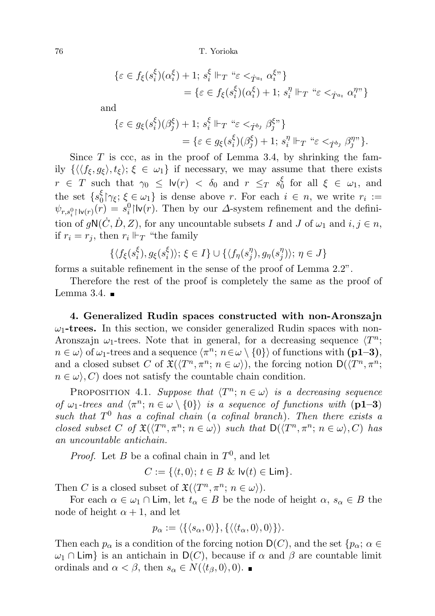76 T. Yorioka

$$
\{\varepsilon \in f_{\xi}(s_i^{\xi})(\alpha_i^{\xi}) + 1; s_i^{\xi} \Vdash_{T} \text{``}\varepsilon <_{\dot{T}^{a_i}} \alpha_i^{\xi} \text{''}\}
$$
\n
$$
= \{\varepsilon \in f_{\xi}(s_i^{\xi})(\alpha_i^{\xi}) + 1; s_i^{\eta} \Vdash_{T} \text{``}\varepsilon <_{\dot{T}^{a_i}} \alpha_i^{\eta} \text{''}\}
$$

and

$$
\{\varepsilon \in g_{\xi}(s_i^{\xi})(\beta_j^{\xi}) + 1; s_i^{\xi} \Vdash_{T} \text{``}\varepsilon <_{\dot{T}^{b_j}} \beta_j^{\xi} \text{''}\}\
$$
\n
$$
= \{\varepsilon \in g_{\xi}(s_i^{\xi})(\beta_j^{\xi}) + 1; s_i^{\eta} \Vdash_{T} \text{``}\varepsilon <_{\dot{T}^{b_j}} \beta_j^{\eta} \text{''}\}.
$$

Since  $T$  is ccc, as in the proof of Lemma 3.4, by shrinking the family  $\{\langle f_{\xi}, g_{\xi}, t_{\xi}\rangle; \xi \in \omega_1\}$  if necessary, we may assume that there exists  $r \in T$  such that  $\gamma_0 \leq \mathsf{lv}(r) < \delta_0$  and  $r \leq_T s_0^{\xi}$  $\frac{5}{0}$  for all  $\xi \in \omega_1$ , and the set  $\{s_0^{\xi}$  $\{\gamma_{\xi}; \xi \in \omega_1\}$  is dense above r. For each  $i \in n$ , we write  $r_i :=$  $\psi_{r,s_i^0\upharpoonright \mathsf{lv}(r)}(\mathbf{r})=s_i^0\upharpoonright \mathsf{lv}(r)$ . Then by our  $\Delta$ -system refinement and the definition of  $gN(\dot{C}, \dot{D}, Z)$ , for any uncountable subsets I and J of  $\omega_1$  and  $i, j \in n$ , if  $r_i = r_j$ , then  $r_i \Vdash_T$  "the family"

$$
\{\langle f_{\xi}(s_i^{\xi}),g_{\xi}(s_i^{\xi})\rangle;\,\xi\in I\}\cup\{\langle f_{\eta}(s_j^{\eta}),g_{\eta}(s_j^{\eta})\rangle;\,\eta\in J\}
$$

forms a suitable refinement in the sense of the proof of Lemma 2.2".

Therefore the rest of the proof is completely the same as the proof of Lemma 3.4.  $\blacksquare$ 

4. Generalized Rudin spaces constructed with non-Aronszajn  $\omega_1$ -trees. In this section, we consider generalized Rudin spaces with non-Aronszajn  $\omega_1$ -trees. Note that in general, for a decreasing sequence  $\langle T^n; \rangle$  $n \in \omega$  of  $\omega_1$ -trees and a sequence  $\langle \pi^n; n \in \omega \setminus \{0\} \rangle$  of functions with  $(p1-3)$ , and a closed subset C of  $\mathfrak{X}(\langle T^n, \pi^n; n \in \omega \rangle)$ , the forcing notion  $\mathsf{D}(\langle T^n, \pi^n; \pi \rangle)$  $n \in \omega$ , C) does not satisfy the countable chain condition.

PROPOSITION 4.1. Suppose that  $\langle T^n; n \in \omega \rangle$  is a decreasing sequence of  $\omega_1$ -trees and  $\langle \pi^n; n \in \omega \setminus \{0\} \rangle$  is a sequence of functions with  $(p1-3)$ such that  $T^0$  has a cofinal chain (a cofinal branch). Then there exists a closed subset C of  $\mathfrak{X}(\langle T^n, \pi^n; n \in \omega \rangle)$  such that  $\mathsf{D}(\langle T^n, \pi^n; n \in \omega \rangle, C)$  has an uncountable antichain.

*Proof.* Let B be a cofinal chain in  $T^0$ , and let

 $C := \{ \langle t, 0 \rangle : t \in B \& \mathsf{lv}(t) \in \mathsf{Lim} \}.$ 

Then C is a closed subset of  $\mathfrak{X}(\langle T^n, \pi^n; n \in \omega \rangle)$ .

For each  $\alpha \in \omega_1 \cap \text{Lim}$ , let  $t_\alpha \in B$  be the node of height  $\alpha, s_\alpha \in B$  the node of height  $\alpha + 1$ , and let

$$
p_{\alpha} := \langle \{ \langle s_{\alpha}, 0 \rangle \}, \{ \langle \langle t_{\alpha}, 0 \rangle, 0 \rangle \} \rangle.
$$

Then each  $p_{\alpha}$  is a condition of the forcing notion  $\mathsf{D}(C)$ , and the set  $\{p_{\alpha}; \alpha \in$  $\omega_1 \cap \text{Lim}$  is an antichain in D(C), because if  $\alpha$  and  $\beta$  are countable limit ordinals and  $\alpha < \beta$ , then  $s_{\alpha} \in N(\langle t_{\beta}, 0 \rangle, 0)$ .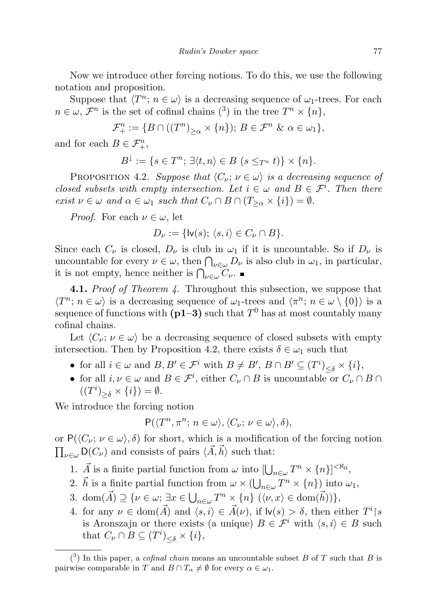Now we introduce other forcing notions. To do this, we use the following notation and proposition.

Suppose that  $\langle T^n; n \in \omega \rangle$  is a decreasing sequence of  $\omega_1$ -trees. For each  $n \in \omega$ ,  $\mathcal{F}^n$  is the set of cofinal chains  $\binom{3}{1}$  in the tree  $T^n \times \{n\}$ ,

$$
\mathcal{F}_{+}^{n} := \{ B \cap ((T^{n})_{\geq \alpha} \times \{n\}); B \in \mathcal{F}^{n} \& \alpha \in \omega_{1} \},
$$

and for each  $B \in \mathcal{F}_{+}^n$ ,

$$
B^{\downarrow} := \{ s \in T^n; \, \exists \langle t, n \rangle \in B \, \left( s \leq_{T^n} t \right) \} \times \{ n \}.
$$

PROPOSITION 4.2. Suppose that  $\langle C_{\nu}; \nu \in \omega \rangle$  is a decreasing sequence of closed subsets with empty intersection. Let  $i \in \omega$  and  $B \in \mathcal{F}^i$ . Then there exist  $\nu \in \omega$  and  $\alpha \in \omega_1$  such that  $C_{\nu} \cap B \cap (T_{\geq \alpha} \times \{i\}) = \emptyset$ .

*Proof.* For each  $\nu \in \omega$ , let

$$
D_{\nu} := \{ \mathsf{lv}(s); \, \langle s, i \rangle \in C_{\nu} \cap B \}.
$$

Since each  $C_{\nu}$  is closed,  $D_{\nu}$  is club in  $\omega_1$  if it is uncountable. So if  $D_{\nu}$  is uncountable for every  $\nu \in \omega$ , then  $\bigcap_{\nu \in \omega} D_{\nu}$  is also club in  $\omega_1$ , in particular, it is not empty, hence neither is  $\bigcap_{\nu\in\omega}C_{\nu}$ .

**4.1.** Proof of Theorem 4. Throughout this subsection, we suppose that  $\langle T^n; n \in \omega \rangle$  is a decreasing sequence of  $\omega_1$ -trees and  $\langle \pi^n; n \in \omega \setminus \{0\} \rangle$  is a sequence of functions with  $(p1-3)$  such that  $T^0$  has at most countably many cofinal chains.

Let  $\langle C_{\nu}; \nu \in \omega \rangle$  be a decreasing sequence of closed subsets with empty intersection. Then by Proposition 4.2, there exists  $\delta \in \omega_1$  such that

- for all  $i \in \omega$  and  $B, B' \in \mathcal{F}^i$  with  $B \neq B'$ ,  $B \cap B' \subseteq (T^i)_{\leq \delta} \times \{i\}$ ,
- for all  $i, \nu \in \omega$  and  $B \in \mathcal{F}^i$ , either  $C_{\nu} \cap B$  is uncountable or  $C_{\nu} \cap B \cap$  $((T^i)_{\geq \delta} \times \{i\}) = \emptyset.$

We introduce the forcing notion

$$
\mathsf{P}(\langle T^n, \pi^n; n \in \omega \rangle, \langle C_{\nu}; \nu \in \omega \rangle, \delta),
$$

or  $P(\langle C_\nu; \nu \in \omega \rangle, \delta)$  for short, which is a modification of the forcing notion  $\prod_{\nu \in \omega} \mathsf{D}(C_{\nu})$  and consists of pairs  $\langle \vec{A}, \vec{h} \rangle$  such that:

- 1.  $\vec{A}$  is a finite partial function from  $\omega$  into  $[\bigcup_{n\in\omega}T^n\times\{n\}]^{<\aleph_0}$ ,
- 2.  $\vec{h}$  is a finite partial function from  $\omega \times (\bigcup_{n \in \omega} T^n \times \{n\})$  into  $\omega_1$ ,
- 3. dom $(\vec{A}) \supseteq {\{\nu \in \omega; \exists x \in \bigcup_{n \in \omega} T^n \times \{n\} \ (\langle \nu, x \rangle \in \text{dom}(\vec{h}))\}},$
- 4. for any  $\nu \in \text{dom}(\vec{A})$  and  $\langle s, i \rangle \in \vec{A}(\nu)$ , if  $\mathsf{lv}(s) > \delta$ , then either  $T^i | s$ is Aronszajn or there exists (a unique)  $B \in \mathcal{F}^i$  with  $\langle s, i \rangle \in B$  such that  $C_{\nu} \cap B \subseteq (T^i)_{\leq \delta} \times \{i\},\$

 $(3)$  In this paper, a *cofinal chain* means an uncountable subset B of T such that B is pairwise comparable in T and  $B \cap T_\alpha \neq \emptyset$  for every  $\alpha \in \omega_1$ .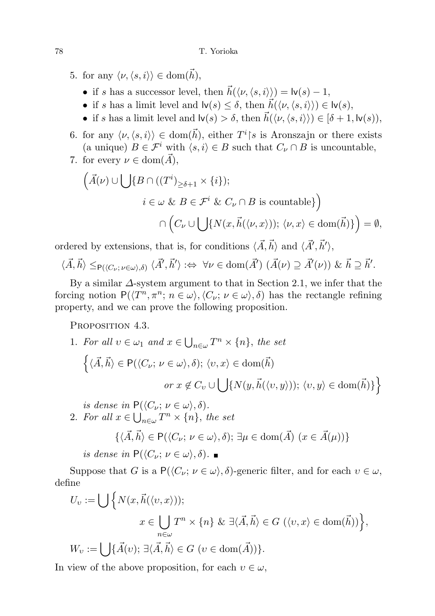78 T. Yorioka

- 5. for any  $\langle \nu,\langle s,i\rangle\rangle \in \text{dom}(\vec{h}),$ 
	- if s has a successor level, then  $\vec{h}(\langle v,\langle s,i \rangle\rangle) = |v(s) 1,$
	- if s has a limit level and  $\mathsf{lv}(s) \leq \delta$ , then  $\vec{h}(\langle v,\langle s,i \rangle) \in \mathsf{lv}(s)$ ,
	- if s has a limit level and  $\mathsf{lv}(s) > \delta$ , then  $\vec{h}(\langle \nu,\langle s,i \rangle \rangle) \in [\delta + 1, \mathsf{lv}(s)),$
- 6. for any  $\langle \nu,\langle s,i\rangle\rangle \in \text{dom}(\vec{h})$ , either  $T^i\restriction s$  is Aronszajn or there exists (a unique)  $B \in \mathcal{F}^i$  with  $\langle s, i \rangle \in B$  such that  $C_{\nu} \cap B$  is uncountable,

7. for every 
$$
\nu \in \text{dom}(\vec{A}),
$$

$$
\left(\vec{A}(\nu) \cup \bigcup \{B \cap ((T^i)_{\geq \delta+1} \times \{i\});\right.\n\left.\begin{aligned}\ni &\in \omega \& B \in \mathcal{F}^i \& C_\nu \cap B \text{ is countable}\}\n\end{aligned}\right) \\
\cap \left(C_\nu \cup \bigcup \{N(x, \vec{h}(\langle \nu, x \rangle)); \langle \nu, x \rangle \in \text{dom}(\vec{h})\}\right) = \emptyset,
$$

ordered by extensions, that is, for conditions  $\langle \vec{A}, \vec{h} \rangle$  and  $\langle \vec{A}', \vec{h}' \rangle$ ,

 $\langle \vec{A}, \vec{h} \rangle \leq_{\mathsf{P}(\langle C_{\nu}; \nu \in \omega \rangle, \delta)} \langle \vec{A}', \vec{h}' \rangle : \Leftrightarrow \forall \nu \in \text{dom}(\vec{A}') \; (\vec{A}(\nu) \supseteq \vec{A}'(\nu)) \; \& \; \vec{h} \supseteq \vec{h}'.$ 

By a similar ∆-system argument to that in Section 2.1, we infer that the forcing notion  $P(\langle T^n, \pi^n; n \in \omega \rangle, \langle C_\nu; \nu \in \omega \rangle, \delta)$  has the rectangle refining property, and we can prove the following proposition.

PROPOSITION 4.3.

1. For all 
$$
v \in \omega_1
$$
 and  $x \in \bigcup_{n \in \omega} T^n \times \{n\}$ , the set  
\n
$$
\left\{ \langle \vec{A}, \vec{h} \rangle \in \mathsf{P}(\langle C_{\nu}; \nu \in \omega \rangle, \delta); \langle v, x \rangle \in \text{dom}(\vec{h}) \right\}
$$
\nor  $x \notin C_v \cup \bigcup \{ N(y, \vec{h}(\langle v, y \rangle)); \langle v, y \rangle \in \text{dom}(\vec{h}) \} \right\}$ 

is dense in  $P(\langle C_{\nu}; \nu \in \omega \rangle, \delta)$ .

2. For all  $x \in \bigcup_{n \in \omega} T^n \times \{n\}$ , the set

$$
\{\langle \vec{A}, \vec{h} \rangle \in \mathsf{P}(\langle C_{\nu}; \nu \in \omega \rangle, \delta); \exists \mu \in \text{dom}(\vec{A}) \ (x \in \vec{A}(\mu))\}
$$

is dense in  $P(\langle C_{\nu}; \nu \in \omega \rangle, \delta)$ .

Suppose that G is a  $P(\langle C_\nu; \nu \in \omega \rangle, \delta)$ -generic filter, and for each  $v \in \omega$ , define

$$
U_{\upsilon} := \bigcup \Big\{ N(x, \vec{h}(\langle \upsilon, x \rangle));
$$
  

$$
x \in \bigcup_{n \in \omega} T^n \times \{n\} \& \exists \langle \vec{A}, \vec{h} \rangle \in G \ (\langle \upsilon, x \rangle \in \text{dom}(\vec{h})) \Big\},
$$
  

$$
W_{\upsilon} := \bigcup \{\vec{A}(\upsilon); \exists \langle \vec{A}, \vec{h} \rangle \in G \ (\upsilon \in \text{dom}(\vec{A})) \}.
$$

In view of the above proposition, for each  $v \in \omega$ ,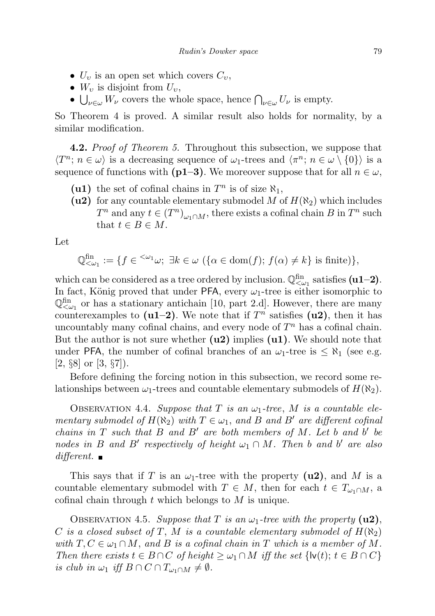- $U_v$  is an open set which covers  $C_v$ ,
- $W_v$  is disjoint from  $U_v$ ,
- $\bigcup_{\nu \in \omega} W_{\nu}$  covers the whole space, hence  $\bigcap_{\nu \in \omega} U_{\nu}$  is empty.

So Theorem 4 is proved. A similar result also holds for normality, by a similar modification.

4.2. *Proof of Theorem 5.* Throughout this subsection, we suppose that  $\langle T^n; n \in \omega \rangle$  is a decreasing sequence of  $\omega_1$ -trees and  $\langle \pi^n; n \in \omega \setminus \{0\} \rangle$  is a sequence of functions with (p1–3). We moreover suppose that for all  $n \in \omega$ ,

- (u1) the set of cofinal chains in  $T^n$  is of size  $\aleph_1$ ,
- (u2) for any countable elementary submodel M of  $H(\aleph_2)$  which includes  $T^n$  and any  $t \in (T^n)_{\omega_1 \cap M}$ , there exists a cofinal chain B in  $T^n$  such that  $t \in B \in M$ .

Let

$$
\mathbb{Q}^{\text{fin}}_{\leq \omega_1} := \{ f \in {}^{<\omega_1} \omega; \ \exists k \in \omega \ (\{\alpha \in \text{dom}(f); f(\alpha) \neq k\} \text{ is finite}) \},
$$

which can be considered as a tree ordered by inclusion.  $\mathbb{Q}^{\text{fin}}_{\leq \omega_1}$  satisfies (**u1–2**). In fact, König proved that under PFA, every  $\omega_1$ -tree is either isomorphic to  $\mathbb{Q}^{\text{fin}}_{\leq \omega_1}$  or has a stationary antichain [10, part 2.d]. However, there are many counterexamples to ( $u1-2$ ). We note that if  $T^n$  satisfies ( $u2$ ), then it has uncountably many cofinal chains, and every node of  $T<sup>n</sup>$  has a cofinal chain. But the author is not sure whether  $(u2)$  implies  $(u1)$ . We should note that under PFA, the number of cofinal branches of an  $\omega_1$ -tree is  $\leq \aleph_1$  (see e.g.  $[2, \S8]$  or  $[3, \S7]$ ).

Before defining the forcing notion in this subsection, we record some relationships between  $\omega_1$ -trees and countable elementary submodels of  $H(\aleph_2)$ .

OBSERVATION 4.4. Suppose that T is an  $\omega_1$ -tree, M is a countable elementary submodel of  $H(\aleph_2)$  with  $T \in \omega_1$ , and B and B' are different cofinal chains in  $T$  such that  $B$  and  $B'$  are both members of  $M$ . Let  $b$  and  $b'$  be nodes in B and B' respectively of height  $\omega_1 \cap M$ . Then b and b' are also different.  $\blacksquare$ 

This says that if T is an  $\omega_1$ -tree with the property (u2), and M is a countable elementary submodel with  $T \in M$ , then for each  $t \in T_{\omega_1 \cap M}$ , a cofinal chain through  $t$  which belongs to  $M$  is unique.

OBSERVATION 4.5. Suppose that T is an  $\omega_1$ -tree with the property (u2), C is a closed subset of T, M is a countable elementary submodel of  $H(\aleph_2)$ with  $T, C \in \omega_1 \cap M$ , and B is a cofinal chain in T which is a member of M. Then there exists  $t \in B \cap C$  of height  $\geq \omega_1 \cap M$  iff the set  $\{w(t); t \in B \cap C\}$ is club in  $\omega_1$  iff  $B \cap C \cap T_{\omega_1 \cap M} \neq \emptyset$ .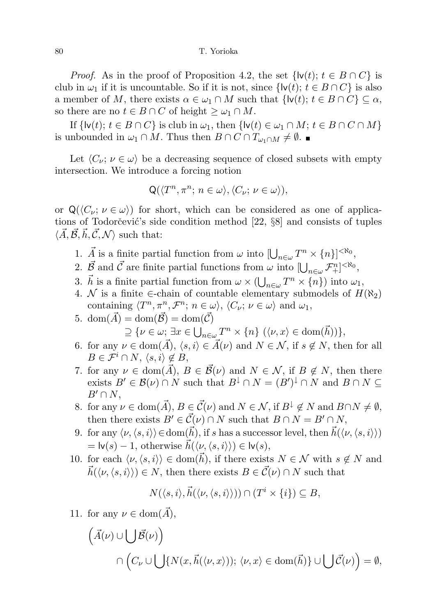*Proof.* As in the proof of Proposition 4.2, the set  $\{w(t); t \in B \cap C\}$  is club in  $\omega_1$  if it is uncountable. So if it is not, since  $\{w(t); t \in B \cap C\}$  is also a member of M, there exists  $\alpha \in \omega_1 \cap M$  such that  $\{w(t); t \in B \cap C\} \subseteq \alpha$ , so there are no  $t \in B \cap C$  of height  $\geq \omega_1 \cap M$ .

If  $\{w(t); t \in B \cap C\}$  is club in  $\omega_1$ , then  $\{w(t) \in \omega_1 \cap M; t \in B \cap C \cap M\}$ is unbounded in  $\omega_1 \cap M$ . Thus then  $B \cap C \cap T_{\omega_1 \cap M} \neq \emptyset$ .

Let  $\langle C_{\nu}; \nu \in \omega \rangle$  be a decreasing sequence of closed subsets with empty intersection. We introduce a forcing notion

$$
Q(\langle T^n, \pi^n; n \in \omega \rangle, \langle C_{\nu}; \nu \in \omega \rangle),
$$

or  $Q(\langle C_{\nu}; \nu \in \omega \rangle)$  for short, which can be considered as one of applications of Todorčević's side condition method  $[22, §8]$  and consists of tuples  $\langle \vec{A}, \vec{B}, \vec{h}, \vec{C}, \mathcal{N} \rangle$  such that:

- 1.  $\vec{A}$  is a finite partial function from  $\omega$  into  $[\bigcup_{n\in\omega}T^n\times\{n\}]^{<\aleph_0}$ ,
- 2.  $\vec{\mathcal{B}}$  and  $\vec{\mathcal{C}}$  are finite partial functions from  $\omega$  into  $[\bigcup_{n\in\omega}\mathcal{F}_{+}^{n}]^{<\aleph_0}$ ,
- 3.  $\vec{h}$  is a finite partial function from  $\omega \times (\bigcup_{n \in \omega} T^n \times \{n\})$  into  $\omega_1$ ,
- 4. N is a finite  $\in$ -chain of countable elementary submodels of  $H(\aleph_2)$ containing  $\langle T^n, \pi^n, \mathcal{F}^n; n \in \omega \rangle$ ,  $\langle C_\nu; \nu \in \omega \rangle$  and  $\omega_1$ ,
- 5. dom $(\vec{A}) = \text{dom}(\vec{B}) = \text{dom}(\vec{C})$  $\supseteq \{\nu \in \omega; \exists x \in \bigcup_{n \in \omega} T^n \times \{n\} \ (\langle \nu, x \rangle \in \text{dom}(\vec{h}))\},\$
- 6. for any  $\nu \in \text{dom}(\vec{A}), \langle s, i \rangle \in \vec{A}(\nu)$  and  $N \in \mathcal{N}$ , if  $s \notin N$ , then for all  $B \in \mathcal{F}^i \cap N, \langle s, i \rangle \notin B$ ,
- 7. for any  $\nu \in \text{dom}(\overrightarrow{A}), B \in \overrightarrow{\mathcal{B}}(\nu)$  and  $N \in \mathcal{N}$ , if  $B \notin N$ , then there exists  $B' \in \mathcal{B}(\nu) \cap N$  such that  $B^{\downarrow} \cap N = (B')^{\downarrow} \cap N$  and  $B \cap N \subseteq$  $B' \cap N$ ,
- 8. for any  $\nu \in \text{dom}(\vec{A}), B \in \vec{\mathcal{C}}(\nu)$  and  $N \in \mathcal{N}$ , if  $B^{\downarrow} \notin N$  and  $B \cap N \neq \emptyset$ , then there exists  $B' \in \mathcal{C}(\nu) \cap N$  such that  $B \cap N = B' \cap N$ ,
- 9. for any  $\langle \nu,\langle s,i\rangle\rangle \in \text{dom}(\vec{h}),$  if s has a successor level, then  $\vec{h}(\langle \nu,\langle s,i\rangle\rangle)$  $=$  lv(s) – 1, otherwise  $\vec{h}(\langle \nu,\langle s,i \rangle \rangle) \in$  lv(s),
- 10. for each  $\langle \nu,\langle s,i\rangle\rangle \in \text{dom}(\vec{h}),$  if there exists  $N \in \mathcal{N}$  with  $s \notin N$  and  $\vec{h}(\langle \nu,\langle s,i \rangle \rangle) \in N$ , then there exists  $B \in \vec{\mathcal{C}}(\nu) \cap N$  such that

$$
N(\langle s,i \rangle, \vec{h}(\langle \nu, \langle s,i \rangle \rangle)) \cap (T^i \times \{i\}) \subseteq B,
$$

11. for any  $\nu \in \text{dom}(\vec{A}),$ 

$$
\left(\vec{A}(\nu) \cup \bigcup \vec{\mathcal{B}}(\nu)\right) \cap \left(C_{\nu} \cup \bigcup \{N(x, \vec{h}(\langle \nu, x \rangle)); \langle \nu, x \rangle \in \text{dom}(\vec{h})\} \cup \bigcup \vec{\mathcal{C}}(\nu)\right) = \emptyset,
$$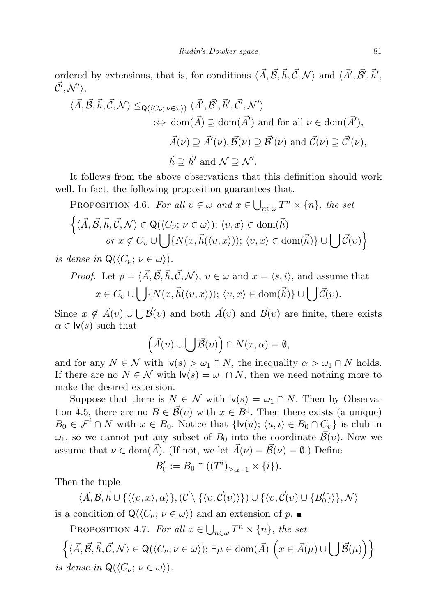ordered by extensions, that is, for conditions  $\langle \vec{A}, \vec{B}, \vec{h}, \vec{C}, \mathcal{N} \rangle$  and  $\langle \vec{A}', \vec{B}', \vec{h}', \vec{B}'$  $\vec{\mathcal{C}'}, \mathcal{N}' \rangle,$ 

$$
\langle \vec{A}, \vec{B}, \vec{h}, \vec{C}, \mathcal{N} \rangle \leq_{\mathsf{Q}(\langle C_{\nu}; \nu \in \omega \rangle)} \langle \vec{A}', \vec{B}', \vec{h}', \vec{C}', \mathcal{N}' \rangle
$$
  

$$
\Rightarrow \text{dom}(\vec{A}) \supseteq \text{dom}(\vec{A}') \text{ and for all } \nu \in \text{dom}(\vec{A}'),
$$

$$
\vec{A}(\nu) \supseteq \vec{A}'(\nu), \vec{B}(\nu) \supseteq \vec{B}'(\nu) \text{ and } \vec{C}(\nu) \supseteq \vec{C}'(\nu),
$$

$$
\vec{h} \supseteq \vec{h}' \text{ and } \mathcal{N} \supseteq \mathcal{N}'.
$$

It follows from the above observations that this definition should work well. In fact, the following proposition guarantees that.

PROPOSITION 4.6. For all  $v \in \omega$  and  $x \in \bigcup_{n \in \omega} T^n \times \{n\}$ , the set  $\left\{ \langle \vec{A}, \vec{\mathcal{B}}, \vec{h}, \vec{\mathcal{C}}, \mathcal{N} \rangle \in \mathsf{Q}(\langle C_{\nu}; \nu \in \omega \rangle); \, \langle v, x \rangle \in \text{dom}(\vec{h}) \right\}$ or  $x \notin C_v \cup \bigcup \{ N(x, \vec{h}(\langle v, x \rangle)); \langle v, x \rangle \in \text{dom}(\vec{h}) \} \cup \bigcup \vec{\mathcal{C}}(v) \big\}$ 

is dense in  $\mathsf{Q}(\langle C_{\nu};\nu \in \omega \rangle)$ .

*Proof.* Let 
$$
p = \langle \vec{A}, \vec{B}, \vec{h}, \vec{C}, \mathcal{N} \rangle
$$
,  $v \in \omega$  and  $x = \langle s, i \rangle$ , and assume that  $x \in C_v \cup \bigcup \{ N(x, \vec{h}(\langle v, x \rangle)); \langle v, x \rangle \in \text{dom}(\vec{h}) \} \cup \bigcup \vec{C}(v)$ .

Since  $x \notin \vec{A}(v) \cup \bigcup \vec{\mathcal{B}}(v)$  and both  $\vec{A}(v)$  and  $\vec{\mathcal{B}}(v)$  are finite, there exists  $\alpha \in \mathsf{lv}(s)$  such that

$$
(\vec{A}(v) \cup \bigcup \vec{\mathcal{B}}(v)) \cap N(x, \alpha) = \emptyset,
$$

and for any  $N \in \mathcal{N}$  with  $|v(s) \rangle \omega_1 \cap N$ , the inequality  $\alpha > \omega_1 \cap N$  holds. If there are no  $N \in \mathcal{N}$  with  $\mathsf{I} \mathsf{v}(s) = \omega_1 \cap N$ , then we need nothing more to make the desired extension.

Suppose that there is  $N \in \mathcal{N}$  with  $\mathsf{lv}(s) = \omega_1 \cap N$ . Then by Observation 4.5, there are no  $B \in \mathcal{B}(v)$  with  $x \in B^{\downarrow}$ . Then there exists (a unique)  $B_0 \in \mathcal{F}^i \cap N$  with  $x \in B_0$ . Notice that  $\{w(u); \langle u, i \rangle \in B_0 \cap C_v\}$  is club in  $ω_1$ , so we cannot put any subset of  $B_0$  into the coordinate  $\vec{\mathcal{B}}(v)$ . Now we assume that  $\nu \in \text{dom}(\vec{A})$ . (If not, we let  $\vec{A}(\nu) = \vec{\mathcal{B}}(\nu) = \emptyset$ .) Define

$$
B'_0 := B_0 \cap ((T^i)_{\geq \alpha+1} \times \{i\}).
$$

Then the tuple

 $\langle \vec{A}, \vec{B}, \vec{h} \cup \{ \langle \langle v, x \rangle, \alpha \rangle \}, (\vec{C} \setminus \{ \langle v, \vec{C}(v) \rangle \}) \cup \{ \langle v, \vec{C}(v) \cup \{B_0' \} \rangle \}, \mathcal{N} \rangle$ is a condition of  $\mathsf{Q}(\langle C_{\nu};\nu\in\omega\rangle)$  and an extension of p.

PROPOSITION 4.7. For all  $x \in \bigcup_{n \in \omega} T^n \times \{n\}$ , the set

$$
\left\{ \langle \vec{A}, \vec{\mathcal{B}}, \vec{h}, \vec{\mathcal{C}}, \mathcal{N} \rangle \in \mathsf{Q}(\langle C_{\nu}; \nu \in \omega \rangle); \exists \mu \in \text{dom}(\vec{A}) \left( x \in \vec{A}(\mu) \cup \bigcup \vec{\mathcal{B}}(\mu) \right) \right\}
$$
  
is dense in  $\mathsf{Q}(\langle C_{\nu}; \nu \in \omega \rangle)$ .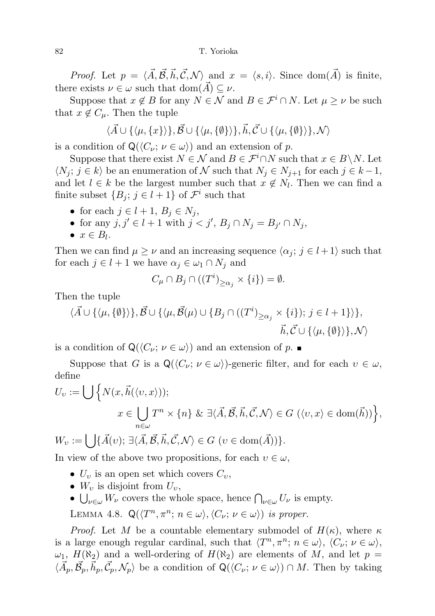*Proof.* Let  $p = \langle \vec{A}, \vec{B}, \vec{h}, \vec{C}, \mathcal{N} \rangle$  and  $x = \langle s, i \rangle$ . Since dom $(\vec{A})$  is finite, there exists  $\nu \in \omega$  such that  $dom(\vec{A}) \subseteq \nu$ .

Suppose that  $x \notin B$  for any  $N \in \mathcal{N}$  and  $B \in \mathcal{F}^i \cap N$ . Let  $\mu \geq \nu$  be such that  $x \notin C_\mu$ . Then the tuple

$$
\langle \vec{A} \cup \{ \langle \mu, \{x\} \rangle \}, \vec{B} \cup \{ \langle \mu, \{\emptyset\} \rangle \}, \vec{h}, \vec{C} \cup \{ \langle \mu, \{\emptyset\} \rangle \}, \mathcal{N} \rangle
$$

is a condition of  $\mathsf{Q}(\langle C_{\nu}; \nu \in \omega \rangle)$  and an extension of p.

Suppose that there exist  $N \in \mathcal{N}$  and  $B \in \mathcal{F}^i \cap N$  such that  $x \in B \backslash N$ . Let  $\langle N_i; j \in k \rangle$  be an enumeration of N such that  $N_i \in N_{i+1}$  for each  $j \in k-1$ , and let  $l \in k$  be the largest number such that  $x \notin N_l$ . Then we can find a finite subset  $\{B_j; j \in l+1\}$  of  $\mathcal{F}^i$  such that

- for each  $j \in l + 1, B_j \in N_j$ ,
- for any  $j, j' \in l+1$  with  $j < j', B_j \cap N_j = B_{j'} \cap N_j$ ,
- $x \in B_l$ .

Then we can find  $\mu \geq \nu$  and an increasing sequence  $\langle \alpha_j : j \in l + 1 \rangle$  such that for each  $j \in l + 1$  we have  $\alpha_j \in \omega_1 \cap N_j$  and

$$
C_{\mu} \cap B_j \cap ((T^i)_{\geq \alpha_j} \times \{i\}) = \emptyset.
$$

Then the tuple

$$
\langle \vec{A} \cup \{ \langle \mu, \{\emptyset\} \rangle \}, \vec{B} \cup \{ \langle \mu, \vec{B}(\mu) \cup \{B_j \cap ((T^i)_{\geq \alpha_j} \times \{i\}); j \in l+1\} \rangle \},\
$$
  

$$
\vec{h}, \vec{C} \cup \{ \langle \mu, \{\emptyset\} \rangle \}, \mathcal{N} \rangle
$$

is a condition of  $\mathsf{Q}(\langle C_{\nu}; \nu \in \omega \rangle)$  and an extension of p.

Suppose that G is a  $\mathsf{Q}(\langle C_{\nu}; \nu \in \omega \rangle)$ -generic filter, and for each  $v \in \omega$ , define

$$
U_{\nu} := \bigcup \Big\{ N(x, \vec{h}(\langle v, x \rangle));
$$
  

$$
x \in \bigcup_{n \in \omega} T^n \times \{n\} \& \exists \langle \vec{A}, \vec{B}, \vec{h}, \vec{C}, \mathcal{N} \rangle \in G \ (\langle v, x \rangle \in \text{dom}(\vec{h})) \Big\},\
$$
  

$$
W_{\nu} := \bigcup \{\vec{A}(v); \exists \langle \vec{A}, \vec{B}, \vec{h}, \vec{C}, \mathcal{N} \rangle \in G \ (v \in \text{dom}(\vec{A}))\}.
$$

In view of the above two propositions, for each  $v \in \omega$ ,

- $U_v$  is an open set which covers  $C_v$ ,
- $W_v$  is disjoint from  $U_v$ ,
- $\bigcup_{\nu \in \omega} W_{\nu}$  covers the whole space, hence  $\bigcap_{\nu \in \omega} U_{\nu}$  is empty.

LEMMA 4.8.  $Q(\langle T^n, \pi^n; n \in \omega \rangle, \langle C_{\nu}; \nu \in \omega \rangle)$  is proper.

*Proof.* Let M be a countable elementary submodel of  $H(\kappa)$ , where  $\kappa$ is a large enough regular cardinal, such that  $\langle T^n, \pi^n; n \in \omega \rangle$ ,  $\langle C_{\nu}; \nu \in \omega \rangle$ ,  $\omega_1$ ,  $H(\aleph_2)$  and a well-ordering of  $H(\aleph_2)$  are elements of M, and let  $p =$  $\langle \vec{A}_p, \vec{B}_p, \vec{b}_p, \vec{C}_p, \mathcal{N}_p \rangle$  be a condition of  $\mathsf{Q}(\langle C_\nu; \nu \in \omega \rangle) \cap M$ . Then by taking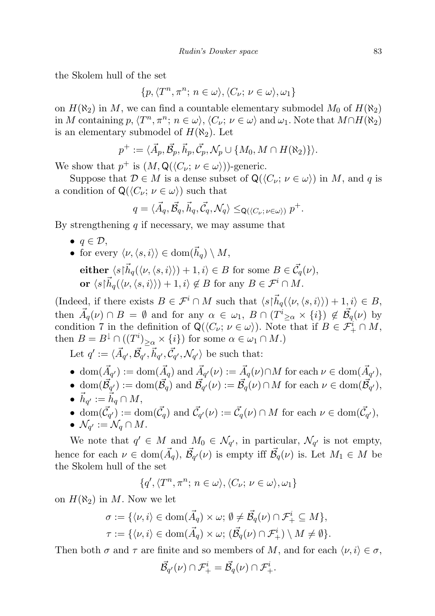the Skolem hull of the set

$$
\{p, \langle T^n, \pi^n; n \in \omega \rangle, \langle C_{\nu}; \nu \in \omega \rangle, \omega_1\}
$$

on  $H(\aleph_2)$  in M, we can find a countable elementary submodel  $M_0$  of  $H(\aleph_2)$ in M containing p,  $\langle T^n, \pi^n; n \in \omega \rangle$ ,  $\langle C_\nu; \nu \in \omega \rangle$  and  $\omega_1$ . Note that  $M \cap H(\aleph_2)$ is an elementary submodel of  $H(\aleph_2)$ . Let

$$
p^+ := \langle \vec{A}_p, \vec{B}_p, \vec{h}_p, \vec{C}_p, \mathcal{N}_p \cup \{M_0, M \cap H(\aleph_2)\}\rangle.
$$

We show that  $p^+$  is  $(M, \mathsf{Q}(\langle C_{\nu}; \nu \in \omega \rangle))$ -generic.

Suppose that  $\mathcal{D} \in M$  is a dense subset of  $\mathsf{Q}(\langle C_{\nu}; \nu \in \omega \rangle)$  in M, and q is a condition of  $\mathsf{Q}(\langle C_{\nu};\nu\in\omega\rangle)$  such that

$$
q = \langle \vec{A}_q, \vec{B}_q, \vec{h}_q, \vec{C}_q, \mathcal{N}_q \rangle \leq_{\mathsf{Q}(\langle C_\nu, \nu \in \omega \rangle)} p^+.
$$

By strengthening  $q$  if necessary, we may assume that

 $\bullet \, q \in \mathcal{D},$ • for every  $\langle \nu, \langle s, i \rangle \rangle \in \text{dom}(\vec{h}_a) \setminus M$ , either  $\langle s \vert \vec{h}_q(\langle \nu,\langle s,i \rangle \rangle) + 1, i \rangle \in B$  for some  $B \in \vec{\mathcal{C}}_q(\nu),$ or  $\langle s \vert \vec{h}_q(\langle v,\langle s,i \rangle \rangle) + 1, i \rangle \notin B$  for any  $B \in \mathcal{F}^i \cap M$ .

(Indeed, if there exists  $B \in \mathcal{F}^i \cap M$  such that  $\langle s | \vec{h}_q(\langle \nu, \langle s, i \rangle \rangle) + 1, i \rangle \in B$ , then  $\vec{A}_q(\nu) \cap B = \emptyset$  and for any  $\alpha \in \omega_1$ ,  $B \cap (T^i_{\geq \alpha} \times \{i\}) \notin \vec{\mathcal{B}}_q(\nu)$  by condition 7 in the definition of  $\mathsf{Q}(\langle C_{\nu}; \nu \in \omega \rangle)$ . Note that if  $B \in \mathcal{F}_{+}^{i} \cap M$ , then  $B = B^{\downarrow} \cap ((T^{i})_{\geq \alpha} \times \{i\})$  for some  $\alpha \in \omega_1 \cap M$ .)

Let  $q' := \langle \vec{A}_{q'}, \vec{B}_{q'}, \vec{h}_{q'}, \vec{C}_{q'}, \mathcal{N}_{q'} \rangle$  be such that:

- dom $(\vec{A}_{q'}) := \text{dom}(\vec{A}_q)$  and  $\vec{A}_{q'}(\nu) := \vec{A}_q(\nu) \cap M$  for each  $\nu \in \text{dom}(\vec{A}_{q'})$ ,
- dom $(\vec{\mathcal{B}}_{q'}) := \text{dom}(\vec{\mathcal{B}}_q)$  and  $\vec{\mathcal{B}}_{q'}(\nu) := \vec{\mathcal{B}}_q(\nu) \cap M$  for each  $\nu \in \text{dom}(\vec{\mathcal{B}}_{q'}),$
- $\bullet~~ \vec{h}_{q'}:= \vec{h}_q \cap M,$
- dom $(\vec{C}_{q'}) := \text{dom}(\vec{C}_q)$  and  $\vec{C}_{q'}(\nu) := \vec{C}_q(\nu) \cap M$  for each  $\nu \in \text{dom}(\vec{C}_{q'})$ ,
- $\bullet \ \ \mathcal{N}_{q'} := \mathcal{N}_q \cap M.$

We note that  $q' \in M$  and  $M_0 \in \mathcal{N}_{q'}$ , in particular,  $\mathcal{N}_{q'}$  is not empty, hence for each  $\nu \in \text{dom}(\vec{A}_q)$ ,  $\vec{\mathcal{B}}_{q'}(\nu)$  is empty iff  $\vec{\mathcal{B}}_q(\nu)$  is. Let  $M_1 \in M$  be the Skolem hull of the set

$$
\{q',\langle T^n,\pi^n;\,n\in\omega\rangle,\langle C_\nu;\,\nu\in\omega\rangle,\omega_1\}
$$

on  $H(\aleph_2)$  in M. Now we let

$$
\sigma := \{ \langle \nu, i \rangle \in \text{dom}(\vec{A}_q) \times \omega; \emptyset \neq \vec{\mathcal{B}}_q(\nu) \cap \mathcal{F}_+^i \subseteq M \},
$$
  

$$
\tau := \{ \langle \nu, i \rangle \in \text{dom}(\vec{A}_q) \times \omega; (\vec{\mathcal{B}}_q(\nu) \cap \mathcal{F}_+^i) \setminus M \neq \emptyset \}.
$$

Then both  $\sigma$  and  $\tau$  are finite and so members of M, and for each  $\langle \nu, i \rangle \in \sigma$ ,

$$
\vec{\mathcal{B}}_{q'}(\nu) \cap \mathcal{F}_{+}^{i} = \vec{\mathcal{B}}_{q}(\nu) \cap \mathcal{F}_{+}^{i}.
$$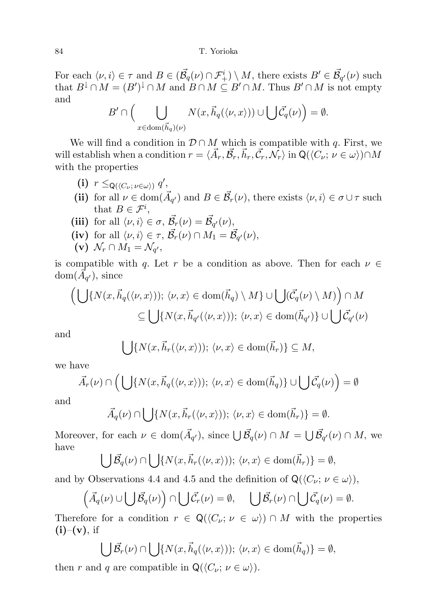### 84 T. Yorioka

For each  $\langle \nu, i \rangle \in \tau$  and  $B \in (\vec{\mathcal{B}}_q(\nu) \cap \mathcal{F}^i_+) \setminus M$ , there exists  $B' \in \vec{\mathcal{B}}_{q'}(\nu)$  such that  $B^{\downarrow} \cap M = (B')^{\downarrow} \cap M$  and  $B \cap M \subseteq B' \cap M$ . Thus  $B' \cap M$  is not empty and

$$
B' \cap \Big(\bigcup_{x \in \text{dom}(\vec{h}_q)(\nu)} N(x, \vec{h}_q(\langle \nu, x \rangle)) \cup \bigcup \vec{C}_q(\nu)\Big) = \emptyset.
$$

We will find a condition in  $\mathcal{D} \cap M$  which is compatible with q. First, we will establish when a condition  $r = \langle \vec{A}_r, \vec{B}_r, \vec{h}_r, \vec{C}_r, \mathcal{N}_r \rangle$  in  $\mathsf{Q}(\langle C_\nu; \nu \in \omega \rangle) \cap M$ with the properties

- (i)  $r \leq_{\mathsf{Q}(\langle C_{\nu}; \nu \in \omega \rangle)} q'$ ,
- (ii) for all  $\nu \in \text{dom}(\vec{A}_{q'})$  and  $B \in \vec{\mathcal{B}}_r(\nu)$ , there exists  $\langle \nu, i \rangle \in \sigma \cup \tau$  such that  $B \in \mathcal{F}^i$ ,
- (iii) for all  $\langle \nu, i \rangle \in \sigma$ ,  $\vec{\mathcal{B}_r}(\nu) = \vec{\mathcal{B}_{q'}}(\nu)$ ,
- (iv) for all  $\langle \nu, i \rangle \in \tau$ ,  $\vec{\mathcal{B}}_r(\nu) \cap M_1 = \vec{\mathcal{B}}_{q'}(\nu)$ ,
- $(\mathbf{v})\ \mathcal{N}_r \cap M_1 = \mathcal{N}_{q'},$

is compatible with q. Let r be a condition as above. Then for each  $\nu \in$  $dom(\overline{A}_{q'})$ , since

$$
\left(\bigcup \{N(x, \vec{h}_q(\langle \nu, x \rangle)); \langle \nu, x \rangle \in \text{dom}(\vec{h}_q) \setminus M\} \cup \bigcup (\vec{C}_q(\nu) \setminus M)\right) \cap M
$$
  

$$
\subseteq \bigcup \{N(x, \vec{h}_{q'}(\langle \nu, x \rangle)); \langle \nu, x \rangle \in \text{dom}(\vec{h}_{q'})\} \cup \bigcup \vec{C}_{q'}(\nu)
$$

and

$$
\bigcup \{N(x, \vec{h}_r(\langle \nu, x \rangle)); \langle \nu, x \rangle \in \text{dom}(\vec{h}_r)\} \subseteq M,
$$

we have

$$
\vec{A}_r(\nu) \cap \left( \bigcup \{ N(x, \vec{h}_q(\langle \nu, x \rangle)); \langle \nu, x \rangle \in \text{dom}(\vec{h}_q) \} \cup \bigcup \vec{C}_q(\nu) \right) = \emptyset
$$

and

$$
\vec{A}_q(\nu) \cap \bigcup \{ N(x, \vec{h}_r(\langle \nu, x \rangle)); \langle \nu, x \rangle \in \text{dom}(\vec{h}_r) \} = \emptyset.
$$

Moreover, for each  $\nu \in \text{dom}(\vec{A}_{q'})$ , since  $\bigcup \vec{\mathcal{B}}_q(\nu) \cap M = \bigcup \vec{\mathcal{B}}_{q'}(\nu) \cap M$ , we have

$$
\bigcup \vec{\mathcal{B}}_q(\nu) \cap \bigcup \{ N(x, \vec{h}_r(\langle \nu, x \rangle)); \langle \nu, x \rangle \in \text{dom}(\vec{h}_r) \} = \emptyset,
$$

and by Observations 4.4 and 4.5 and the definition of  $\mathsf{Q}(\langle C_{\nu}; \nu \in \omega \rangle)$ ,

$$
(\vec{A}_q(\nu) \cup \bigcup \vec{B}_q(\nu)) \cap \bigcup \vec{C}_r(\nu) = \emptyset, \quad \bigcup \vec{B}_r(\nu) \cap \bigcup \vec{C}_q(\nu) = \emptyset.
$$

Therefore for a condition  $r \in \mathsf{Q}(\langle C_{\nu}; \nu \in \omega \rangle) \cap M$  with the properties  $(i)$ – $(v)$ , if

$$
\bigcup \vec{\mathcal{B}}_r(\nu) \cap \bigcup \{ N(x, \vec{h}_q(\langle \nu, x \rangle)); \langle \nu, x \rangle \in \text{dom}(\vec{h}_q) \} = \emptyset,
$$

then r and q are compatible in  $\mathsf{Q}(\langle C_{\nu};\nu\in\omega\rangle).$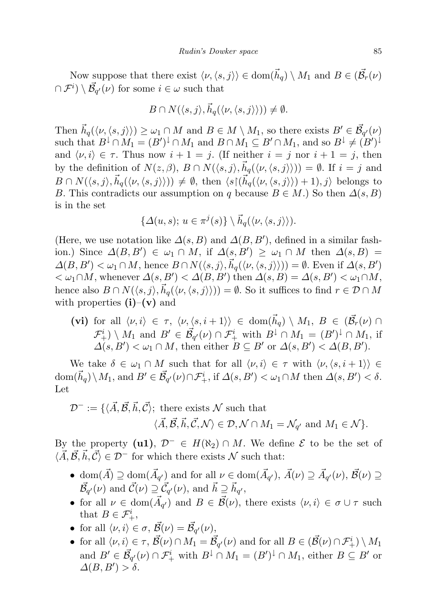Now suppose that there exist  $\langle \nu, \langle s, j \rangle \rangle \in \text{dom}(\vec{h}_q) \setminus M_1$  and  $B \in (\vec{\mathcal{B}}_r(\nu))$  $( \bigcap \mathcal{F}^i ) \setminus \vec{\mathcal{B}_{q'}}(\nu)$  for some  $i \in \omega$  such that

$$
B \cap N(\langle s, j \rangle, \vec{h}_q(\langle \nu, \langle s, j \rangle \rangle)) \neq \emptyset.
$$

Then  $\vec{h}_q(\langle v, \langle s, j \rangle \rangle) \geq \omega_1 \cap M$  and  $B \in M \setminus M_1$ , so there exists  $B' \in \vec{\mathcal{B}}_{q'}(\nu)$ such that  $B^{\downarrow} \cap M_1 = (B')^{\downarrow} \cap M_1$  and  $B \cap M_1 \subseteq B' \cap M_1$ , and so  $B^{\downarrow} \neq (B')^{\downarrow}$ and  $\langle \nu, i \rangle \in \tau$ . Thus now  $i + 1 = j$ . (If neither  $i = j$  nor  $i + 1 = j$ , then by the definition of  $N(z, \beta), B \cap N(\langle s, j \rangle, \vec{h}_q(\langle \nu, \langle s, j \rangle \rangle)) = \emptyset$ . If  $i = j$  and  $B \cap N(\langle s, j \rangle, \vec{h}_q(\langle \nu, \langle s, j \rangle \rangle)) \neq \emptyset$ , then  $\langle s | (\vec{h}_q(\langle \nu, \langle s, j \rangle \rangle) + 1), j \rangle$  belongs to B. This contradicts our assumption on q because  $B \in M$ .) So then  $\Delta(s, B)$ is in the set

$$
\{\Delta(u,s);\, u\in \pi^j(s)\}\setminus \vec{h}_q(\langle \nu, \langle s,j \rangle \rangle).
$$

(Here, we use notation like  $\Delta(s, B)$  and  $\Delta(B, B')$ , defined in a similar fashion.) Since  $\Delta(B, B') \in \omega_1 \cap M$ , if  $\Delta(s, B') \geq \omega_1 \cap M$  then  $\Delta(s, B)$  $\Delta(B, B') < \omega_1 \cap M$ , hence  $B \cap N(\langle s, j \rangle, \vec{h}_q(\langle v, \langle s, j \rangle \rangle)) = \emptyset$ . Even if  $\Delta(s, B')$  $<\omega_1 \cap M$ , whenever  $\Delta(s, B') < \Delta(B, B')$  then  $\Delta(s, B) = \Delta(s, B') < \omega_1 \cap M$ , hence also  $B \cap N(\langle s, j \rangle, \vec{h}_q(\langle \nu, \langle s, j \rangle \rangle)) = \emptyset$ . So it suffices to find  $r \in \mathcal{D} \cap M$ with properties  $(i)-(v)$  and

(vi) for all  $\langle \nu, i \rangle \in \tau$ ,  $\langle \nu, \langle s, i + 1 \rangle \rangle \in \text{dom}(\vec{h}_q) \setminus M_1, B \in (\vec{\mathcal{B}}_r(\nu) \cap$  $\mathcal{F}^i_+\rangle \setminus M_1$  and  $B' \in \vec{\mathcal{B}}_{q'}(\nu) \cap \mathcal{F}^i_+$  with  $B^{\downarrow} \cap M_1 = (B')^{\downarrow} \cap M_1$ , if  $\Delta(s, B') < \omega_1 \cap M$ , then either  $B \subseteq B'$  or  $\Delta(s, B') < \Delta(B, B')$ .

We take  $\delta \in \omega_1 \cap M$  such that for all  $\langle \nu, i \rangle \in \tau$  with  $\langle \nu, \langle s, i + 1 \rangle \rangle \in$  $\text{dom}(\vec{h}_q) \setminus M_1$ , and  $B' \in \vec{\mathcal{B}}_{q'}(\nu) \cap \mathcal{F}^i_+$ , if  $\Delta(s, B') < \omega_1 \cap M$  then  $\Delta(s, B') < \delta$ . Let

$$
\mathcal{D}^- := \{ \langle \vec{A}, \vec{\mathcal{B}}, \vec{h}, \vec{\mathcal{C}} \rangle; \text{ there exists } \mathcal{N} \text{ such that } \langle \vec{A}, \vec{\mathcal{B}}, \vec{h}, \vec{\mathcal{C}}, \mathcal{N} \rangle \in \mathcal{D}, \mathcal{N} \cap M_1 = \mathcal{N}_{q'} \text{ and } M_1 \in \mathcal{N} \}.
$$

By the property (u1),  $\mathcal{D}^- \in H(\aleph_2) \cap M$ . We define  $\mathcal E$  to be the set of  $\langle \vec{A}, \vec{B}, \vec{h}, \vec{C} \rangle \in \mathcal{D}^-$  for which there exists N such that:

- dom $(\vec{A}) \supseteq \text{dom}(\vec{A}_{q'})$  and for all  $\nu \in \text{dom}(\vec{A}_{q'})$ ,  $\vec{A}(\nu) \supseteq \vec{A}_{q'}(\nu)$ ,  $\vec{B}(\nu) \supseteq \vec{A}_{q'}(\nu)$  $\vec{\mathcal{B}_{q'}}(\nu)$  and  $\vec{\mathcal{C}}(\nu) \supseteq \vec{\mathcal{C}_{q'}}(\nu)$ , and  $\vec{h} \supseteq \vec{h}_{q'}$ ,
- for all  $\nu \in \text{dom}(\vec{A}_{q'})$  and  $B \in \vec{\mathcal{B}}(\nu)$ , there exists  $\langle \nu, i \rangle \in \sigma \cup \tau$  such that  $B \in \mathcal{F}_{+}^{i}$ ,
- for all  $\langle \nu, i \rangle \in \sigma$ ,  $\vec{\mathcal{B}}(\nu) = \vec{\mathcal{B}}_{q'}(\nu)$ ,
- for all  $\langle \nu, i \rangle \in \tau$ ,  $\vec{\mathcal{B}}(\nu) \cap M_1 = \vec{\mathcal{B}}_{q'}(\nu)$  and for all  $B \in (\vec{\mathcal{B}}(\nu) \cap \mathcal{F}^i_+) \setminus M_1$ and  $B' \in \vec{\mathcal{B}}_{q'}(\nu) \cap \mathcal{F}_{+}^{i}$  with  $B^{\downarrow} \cap M_{1} = (B')^{\downarrow} \cap M_{1}$ , either  $B \subseteq B'$  or  $\Delta(B, B') > \delta.$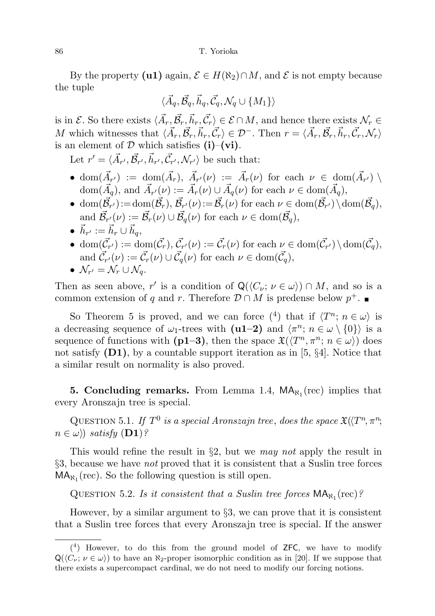By the property (u1) again,  $\mathcal{E} \in H(\aleph_2) \cap M$ , and  $\mathcal{E}$  is not empty because the tuple

$$
\langle \vec{A}_q, \vec{\mathcal{B}}_q, \vec{h}_q, \vec{\mathcal{C}}_q, \mathcal{N}_q \cup \{M_1\} \rangle
$$

is in  $\mathcal{E}$ . So there exists  $\langle \vec{A}_r, \vec{B}_r, \vec{h}_r, \vec{C}_r \rangle \in \mathcal{E} \cap M$ , and hence there exists  $\mathcal{N}_r \in$ M which witnesses that  $\langle \vec{A}_r, \vec{B}_r, \vec{h}_r, \vec{C}_r \rangle \in \mathcal{D}^-$ . Then  $r = \langle \vec{A}_r, \vec{B}_r, \vec{h}_r, \vec{C}_r, \mathcal{N}_r \rangle$ is an element of  $D$  which satisfies (i)–(vi).

Let  $r' = \langle \vec{A}_{r'}, \vec{B}_{r'}, \vec{h}_{r'}, \vec{C}_{r'}, \mathcal{N}_{r'} \rangle$  be such that:

- dom $(\vec{A}_{r'}) := \text{dom}(\vec{A}_r), \ \vec{A}_{r'}(\nu) := \vec{A}_r(\nu) \text{ for each } \nu \in \text{dom}(\vec{A}_{r'})$  $\text{dom}(\vec{A}_q)$ , and  $\vec{A}_{r'}(\nu) := \vec{A}_r(\nu) \cup \vec{A}_q(\nu)$  for each  $\nu \in \text{dom}(\vec{A}_q)$ ,
- dom $(\vec{\mathcal{B}}_{r'})$ :=dom $(\vec{\mathcal{B}}_r)$ ,  $\vec{\mathcal{B}}_{r'}(\nu)$ := $\vec{\mathcal{B}}_r(\nu)$  for each  $\nu \in \text{dom}(\vec{\mathcal{B}}_{r'}) \setminus \text{dom}(\vec{\mathcal{B}}_q)$ , and  $\vec{\mathcal{B}}_{r'}(\nu) := \vec{\mathcal{B}}_r(\nu) \cup \vec{\mathcal{B}}_q(\nu)$  for each  $\nu \in \text{dom}(\vec{\mathcal{B}}_q)$ ,
- $\bullet~~ \vec{h}_{r^\prime} := \vec{h}_{r} \cup \vec{h}_{q},$
- dom $(\vec{C}_{r'}) := \text{dom}(\vec{C}_r), \vec{C}_{r'}(\nu) := \vec{C}_r(\nu)$  for each  $\nu \in \text{dom}(\vec{C}_{r'}) \setminus \text{dom}(\vec{C}_q)$ , and  $\vec{\mathcal{C}}_{r'}(\nu) := \vec{\mathcal{C}}_r(\nu) \cup \vec{\mathcal{C}}_q(\nu)$  for each  $\nu \in \text{dom}(\vec{\mathcal{C}}_q)$ ,

$$
\bullet \ \mathcal{N}_{r'} = \mathcal{N}_r \cup \mathcal{N}_q.
$$

Then as seen above, r' is a condition of  $\mathsf{Q}(\langle C_{\nu};\nu\in\omega\rangle) \cap M$ , and so is a common extension of q and r. Therefore  $D \cap M$  is predense below  $p^+$ .

So Theorem 5 is proved, and we can force  $(4)$  that if  $\langle T^n; n \in \omega \rangle$  is a decreasing sequence of  $\omega_1$ -trees with (**u1–2**) and  $\langle \pi^n; n \in \omega \setminus \{0\} \rangle$  is a sequence of functions with (p1–3), then the space  $\mathfrak{X}(\langle T^n, \pi^n; n \in \omega \rangle)$  does not satisfy  $(D1)$ , by a countable support iteration as in [5, §4]. Notice that a similar result on normality is also proved.

**5. Concluding remarks.** From Lemma 1.4,  $MA_{N_1}$ (rec) implies that every Aronszajn tree is special.

QUESTION 5.1. If  $T^0$  is a special Aronszajn tree, does the space  $\mathfrak{X}(\langle T^n, \pi^n;$  $n \in \omega$ ) satisfy (D1)?

This would refine the result in  $\S2$ , but we *may not* apply the result in §3, because we have not proved that it is consistent that a Suslin tree forces  $MA_{N_1}$ (rec). So the following question is still open.

QUESTION 5.2. Is it consistent that a Suslin tree forces  $\mathsf{MA}_{\aleph_1}(\text{rec})$ ?

However, by a similar argument to  $\S 3$ , we can prove that it is consistent that a Suslin tree forces that every Aronszajn tree is special. If the answer

<sup>(</sup> 4 ) However, to do this from the ground model of ZFC, we have to modify  $Q(\langle C_\nu; \nu \in \omega \rangle)$  to have an  $\aleph_2$ -proper isomorphic condition as in [20]. If we suppose that there exists a supercompact cardinal, we do not need to modify our forcing notions.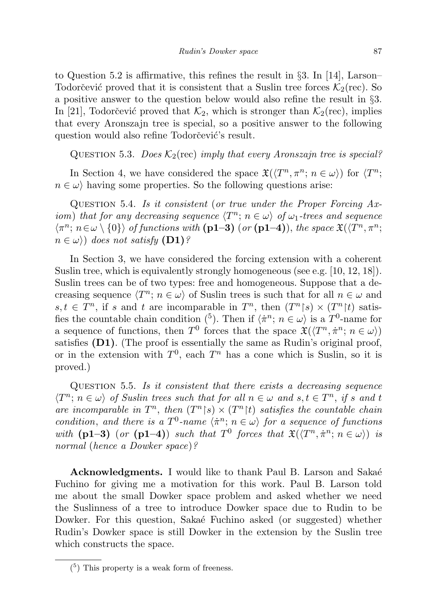to Question 5.2 is affirmative, this refines the result in §3. In [14], Larson– Todorčević proved that it is consistent that a Suslin tree forces  $\mathcal{K}_2$ (rec). So a positive answer to the question below would also refine the result in §3. In [21], Todorčević proved that  $\mathcal{K}_2$ , which is stronger than  $\mathcal{K}_2$ (rec), implies that every Aronszajn tree is special, so a positive answer to the following question would also refine Todorčević's result.

QUESTION 5.3. Does  $\mathcal{K}_2$ (rec) imply that every Aronszajn tree is special?

In Section 4, we have considered the space  $\mathfrak{X}(\langle T^n, \pi^n; n \in \omega \rangle)$  for  $\langle T^n;$  $n \in \omega$  having some properties. So the following questions arise:

Question 5.4. Is it consistent (or true under the Proper Forcing Axiom) that for any decreasing sequence  $\langle T^n; n \in \omega \rangle$  of  $\omega_1$ -trees and sequence  $\langle \pi^n; n \in \omega \setminus \{0\} \rangle$  of functions with (p1-3) (or (p1-4)), the space  $\mathfrak{X}(\langle T^n, \pi^n; \rangle)$  $n \in \omega$ ) does not satisfy (D1)?

In Section 3, we have considered the forcing extension with a coherent Suslin tree, which is equivalently strongly homogeneous (see e.g. [10, 12, 18]). Suslin trees can be of two types: free and homogeneous. Suppose that a decreasing sequence  $\langle T^n; n \in \omega \rangle$  of Suslin trees is such that for all  $n \in \omega$  and  $s, t \in T^n$ , if s and t are incomparable in  $T^n$ , then  $(T^n | s) \times (T^n | t)$  satisfies the countable chain condition (<sup>5</sup>). Then if  $\langle \pi^n; n \in \omega \rangle$  is a  $T^0$ -name for a sequence of functions, then  $T^0$  forces that the space  $\mathfrak{X}(\langle T^n, \pi^n; n \in \omega \rangle)$ satisfies (D1). (The proof is essentially the same as Rudin's original proof, or in the extension with  $T^0$ , each  $T^n$  has a cone which is Suslin, so it is proved.)

QUESTION  $5.5.$  Is it consistent that there exists a decreasing sequence  $\langle T^n; n \in \omega \rangle$  of Suslin trees such that for all  $n \in \omega$  and  $s, t \in T^n$ , if s and t are incomparable in  $T^n$ , then  $(T^n | s) \times (T^n | t)$  satisfies the countable chain condition, and there is a  $T^0$ -name  $\langle \pi^n; n \in \omega \rangle$  for a sequence of functions with  $(p1-3)$  (or  $(p1-4)$ ) such that  $T^0$  forces that  $\mathfrak{X}(\langle T^n, \pi^n; n \in \omega \rangle)$  is normal (hence a Dowker space)?

Acknowledgments. I would like to thank Paul B. Larson and Sakaé Fuchino for giving me a motivation for this work. Paul B. Larson told me about the small Dowker space problem and asked whether we need the Suslinness of a tree to introduce Dowker space due to Rudin to be Dowker. For this question, Sakaé Fuchino asked (or suggested) whether Rudin's Dowker space is still Dowker in the extension by the Suslin tree which constructs the space.

 $(5)$  This property is a weak form of freeness.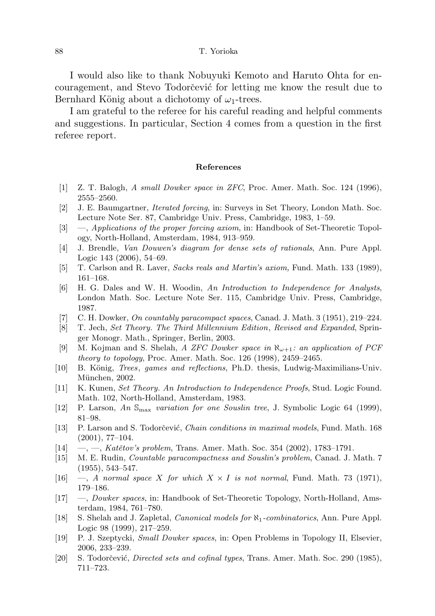I would also like to thank Nobuyuki Kemoto and Haruto Ohta for encouragement, and Stevo Todorc̆evic for letting me know the result due to Bernhard König about a dichotomy of  $\omega_1$ -trees.

I am grateful to the referee for his careful reading and helpful comments and suggestions. In particular, Section 4 comes from a question in the first referee report.

#### References

- [1] Z. T. Balogh, A small Dowker space in ZFC, Proc. Amer. Math. Soc. 124 (1996), 2555–2560.
- [2] J. E. Baumgartner, Iterated forcing, in: Surveys in Set Theory, London Math. Soc. Lecture Note Ser. 87, Cambridge Univ. Press, Cambridge, 1983, 1–59.
- [3] —, Applications of the proper forcing axiom, in: Handbook of Set-Theoretic Topology, North-Holland, Amsterdam, 1984, 913–959.
- [4] J. Brendle, Van Douwen's diagram for dense sets of rationals, Ann. Pure Appl. Logic 143 (2006), 54–69.
- [5] T. Carlson and R. Laver, Sacks reals and Martin's axiom, Fund. Math. 133 (1989), 161–168.
- [6] H. G. Dales and W. H. Woodin, An Introduction to Independence for Analysts, London Math. Soc. Lecture Note Ser. 115, Cambridge Univ. Press, Cambridge, 1987.
- [7] C. H. Dowker, On countably paracompact spaces, Canad. J. Math. 3 (1951), 219–224.
- [8] T. Jech, Set Theory. The Third Millennium Edition, Revised and Expanded, Springer Monogr. Math., Springer, Berlin, 2003.
- [9] M. Kojman and S. Shelah, A ZFC Dowker space in  $\aleph_{\omega+1}$ : an application of PCF theory to topology, Proc. Amer. Math. Soc. 126 (1998), 2459–2465.
- [10] B. König, *Trees, games and reflections*, Ph.D. thesis, Ludwig-Maximilians-Univ. München, 2002.
- [11] K. Kunen, Set Theory. An Introduction to Independence Proofs, Stud. Logic Found. Math. 102, North-Holland, Amsterdam, 1983.
- [12] P. Larson, An Smax variation for one Souslin tree, J. Symbolic Logic 64 (1999), 81–98.
- [13] P. Larson and S. Todorčević, *Chain conditions in maximal models*, Fund. Math. 168 (2001), 77–104.
- $[14] \quad -,-$ , Katětov's problem, Trans. Amer. Math. Soc. 354 (2002), 1783–1791.
- [15] M. E. Rudin, Countable paracompactness and Souslin's problem, Canad. J. Math. 7 (1955), 543–547.
- [16]  $\ldots$ , A normal space X for which  $X \times I$  is not normal, Fund. Math. 73 (1971), 179–186.
- [17] —, Dowker spaces, in: Handbook of Set-Theoretic Topology, North-Holland, Amsterdam, 1984, 761–780.
- [18] S. Shelah and J. Zapletal, *Canonical models for*  $\aleph_1$ -*combinatorics*, Ann. Pure Appl. Logic 98 (1999), 217–259.
- [19] P. J. Szeptycki, Small Dowker spaces, in: Open Problems in Topology II, Elsevier, 2006, 233–239.
- [20] S. Todorčević, *Directed sets and cofinal types*, Trans. Amer. Math. Soc. 290 (1985), 711–723.